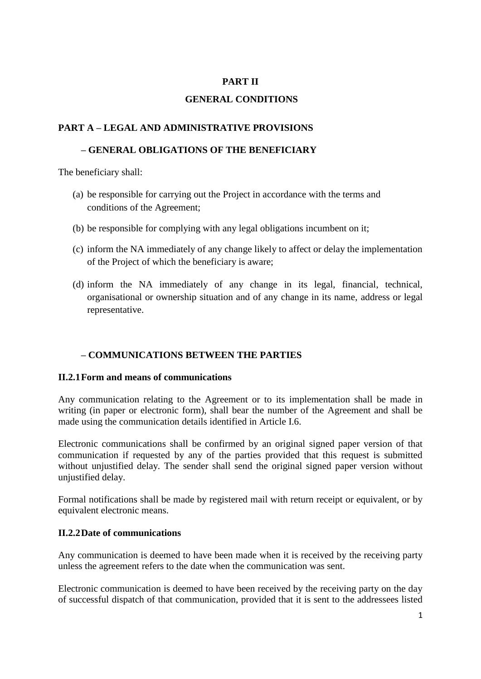# **PART II**

# **GENERAL CONDITIONS**

# **PART A – LEGAL AND ADMINISTRATIVE PROVISIONS**

# **– GENERAL OBLIGATIONS OF THE BENEFICIARY**

The beneficiary shall:

- (a) be responsible for carrying out the Project in accordance with the terms and conditions of the Agreement;
- (b) be responsible for complying with any legal obligations incumbent on it;
- (c) inform the NA immediately of any change likely to affect or delay the implementation of the Project of which the beneficiary is aware;
- (d) inform the NA immediately of any change in its legal, financial, technical, organisational or ownership situation and of any change in its name, address or legal representative.

# **– COMMUNICATIONS BETWEEN THE PARTIES**

#### **II.2.1Form and means of communications**

Any communication relating to the Agreement or to its implementation shall be made in writing (in paper or electronic form), shall bear the number of the Agreement and shall be made using the communication details identified in Article I.6.

Electronic communications shall be confirmed by an original signed paper version of that communication if requested by any of the parties provided that this request is submitted without unjustified delay. The sender shall send the original signed paper version without unjustified delay.

Formal notifications shall be made by registered mail with return receipt or equivalent, or by equivalent electronic means.

# **II.2.2Date of communications**

Any communication is deemed to have been made when it is received by the receiving party unless the agreement refers to the date when the communication was sent.

Electronic communication is deemed to have been received by the receiving party on the day of successful dispatch of that communication, provided that it is sent to the addressees listed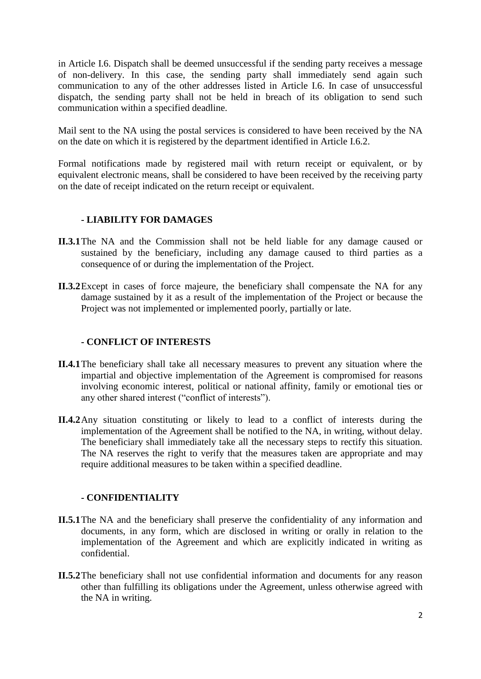in Article I.6. Dispatch shall be deemed unsuccessful if the sending party receives a message of non-delivery. In this case, the sending party shall immediately send again such communication to any of the other addresses listed in Article I.6. In case of unsuccessful dispatch, the sending party shall not be held in breach of its obligation to send such communication within a specified deadline.

Mail sent to the NA using the postal services is considered to have been received by the NA on the date on which it is registered by the department identified in Article I.6.2.

Formal notifications made by registered mail with return receipt or equivalent, or by equivalent electronic means, shall be considered to have been received by the receiving party on the date of receipt indicated on the return receipt or equivalent.

### **- LIABILITY FOR DAMAGES**

- **II.3.1**The NA and the Commission shall not be held liable for any damage caused or sustained by the beneficiary, including any damage caused to third parties as a consequence of or during the implementation of the Project.
- **II.3.2**Except in cases of force majeure, the beneficiary shall compensate the NA for any damage sustained by it as a result of the implementation of the Project or because the Project was not implemented or implemented poorly, partially or late.

### **- CONFLICT OF INTERESTS**

- **II.4.1**The beneficiary shall take all necessary measures to prevent any situation where the impartial and objective implementation of the Agreement is compromised for reasons involving economic interest, political or national affinity, family or emotional ties or any other shared interest ("conflict of interests").
- **II.4.2**Any situation constituting or likely to lead to a conflict of interests during the implementation of the Agreement shall be notified to the NA, in writing, without delay. The beneficiary shall immediately take all the necessary steps to rectify this situation. The NA reserves the right to verify that the measures taken are appropriate and may require additional measures to be taken within a specified deadline.

#### **- CONFIDENTIALITY**

- **II.5.1**The NA and the beneficiary shall preserve the confidentiality of any information and documents, in any form, which are disclosed in writing or orally in relation to the implementation of the Agreement and which are explicitly indicated in writing as confidential.
- **II.5.2**The beneficiary shall not use confidential information and documents for any reason other than fulfilling its obligations under the Agreement, unless otherwise agreed with the NA in writing.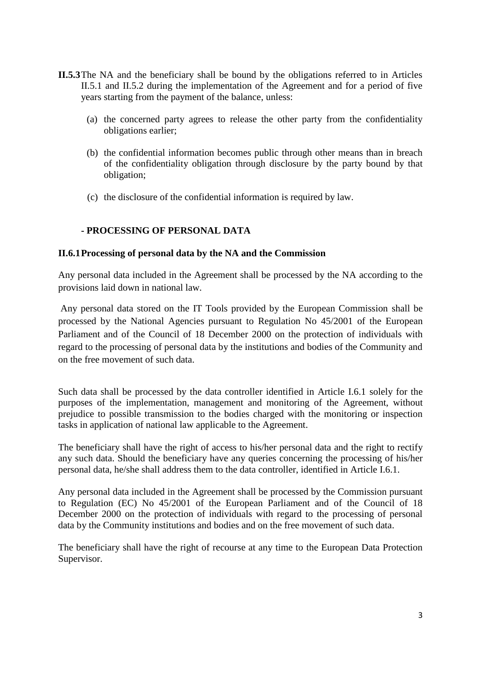- **II.5.3**The NA and the beneficiary shall be bound by the obligations referred to in Articles II.5.1 and II.5.2 during the implementation of the Agreement and for a period of five years starting from the payment of the balance, unless:
	- (a) the concerned party agrees to release the other party from the confidentiality obligations earlier;
	- (b) the confidential information becomes public through other means than in breach of the confidentiality obligation through disclosure by the party bound by that obligation;
	- (c) the disclosure of the confidential information is required by law.

# **- PROCESSING OF PERSONAL DATA**

### **II.6.1Processing of personal data by the NA and the Commission**

Any personal data included in the Agreement shall be processed by the NA according to the provisions laid down in national law.

Any personal data stored on the IT Tools provided by the European Commission shall be processed by the National Agencies pursuant to Regulation No [45/2001](http://eur-lex.europa.eu/LexUriServ/LexUriServ.do?uri=CELEX:32001R0045:EN:NOT) of the European Parliament and of the Council of 18 December 2000 on the protection of individuals with regard to the processing of personal data by the institutions and bodies of the Community and on the free movement of such data.

Such data shall be processed by the data controller identified in Article I.6.1 solely for the purposes of the implementation, management and monitoring of the Agreement, without prejudice to possible transmission to the bodies charged with the monitoring or inspection tasks in application of national law applicable to the Agreement.

The beneficiary shall have the right of access to his/her personal data and the right to rectify any such data. Should the beneficiary have any queries concerning the processing of his/her personal data, he/she shall address them to the data controller, identified in Article I.6.1.

Any personal data included in the Agreement shall be processed by the Commission pursuant to Regulation (EC) No 45/2001 of the European Parliament and of the Council of 18 December 2000 on the protection of individuals with regard to the processing of personal data by the Community institutions and bodies and on the free movement of such data.

The beneficiary shall have the right of recourse at any time to the European Data Protection Supervisor.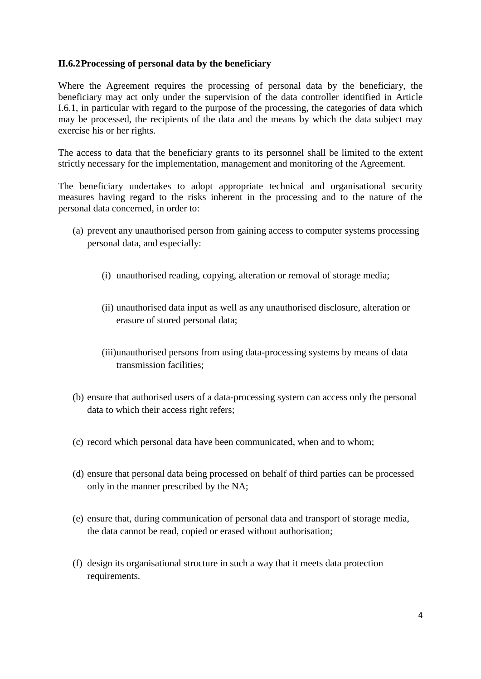### **II.6.2Processing of personal data by the beneficiary**

Where the Agreement requires the processing of personal data by the beneficiary, the beneficiary may act only under the supervision of the data controller identified in Article I.6.1, in particular with regard to the purpose of the processing, the categories of data which may be processed, the recipients of the data and the means by which the data subject may exercise his or her rights.

The access to data that the beneficiary grants to its personnel shall be limited to the extent strictly necessary for the implementation, management and monitoring of the Agreement.

The beneficiary undertakes to adopt appropriate technical and organisational security measures having regard to the risks inherent in the processing and to the nature of the personal data concerned, in order to:

- (a) prevent any unauthorised person from gaining access to computer systems processing personal data, and especially:
	- (i) unauthorised reading, copying, alteration or removal of storage media;
	- (ii) unauthorised data input as well as any unauthorised disclosure, alteration or erasure of stored personal data;
	- (iii)unauthorised persons from using data-processing systems by means of data transmission facilities;
- (b) ensure that authorised users of a data-processing system can access only the personal data to which their access right refers;
- (c) record which personal data have been communicated, when and to whom;
- (d) ensure that personal data being processed on behalf of third parties can be processed only in the manner prescribed by the NA;
- (e) ensure that, during communication of personal data and transport of storage media, the data cannot be read, copied or erased without authorisation;
- (f) design its organisational structure in such a way that it meets data protection requirements.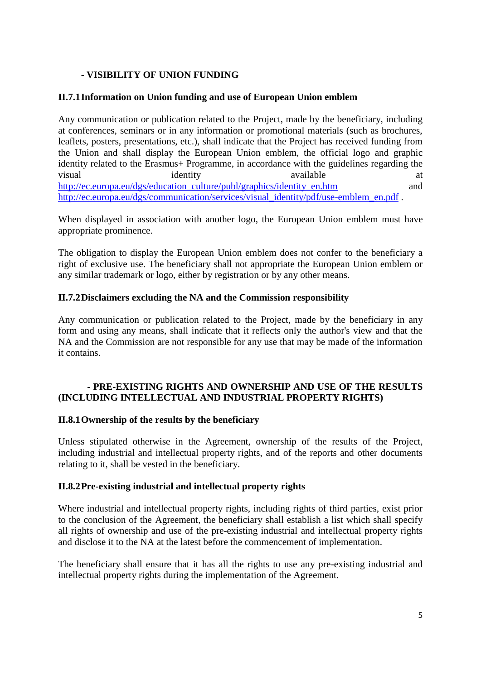# **- VISIBILITY OF UNION FUNDING**

### **II.7.1Information on Union funding and use of European Union emblem**

Any communication or publication related to the Project, made by the beneficiary, including at conferences, seminars or in any information or promotional materials (such as brochures, leaflets, posters, presentations, etc.), shall indicate that the Project has received funding from the Union and shall display the European Union emblem, the official logo and graphic identity related to the Erasmus+ Programme, in accordance with the guidelines regarding the visual identity available at a [http://ec.europa.eu/dgs/education\\_culture/publ/graphics/identity\\_en.htm](http://ec.europa.eu/dgs/education_culture/publ/graphics/identity_en.htm) and [http://ec.europa.eu/dgs/communication/services/visual\\_identity/pdf/use-emblem\\_en.pdf](http://ec.europa.eu/dgs/communication/services/visual_identity/pdf/use-emblem_en.pdf) .

When displayed in association with another logo, the European Union emblem must have appropriate prominence.

The obligation to display the European Union emblem does not confer to the beneficiary a right of exclusive use. The beneficiary shall not appropriate the European Union emblem or any similar trademark or logo, either by registration or by any other means.

### **II.7.2Disclaimers excluding the NA and the Commission responsibility**

Any communication or publication related to the Project, made by the beneficiary in any form and using any means, shall indicate that it reflects only the author's view and that the NA and the Commission are not responsible for any use that may be made of the information it contains.

### **- PRE-EXISTING RIGHTS AND OWNERSHIP AND USE OF THE RESULTS (INCLUDING INTELLECTUAL AND INDUSTRIAL PROPERTY RIGHTS)**

# **II.8.1Ownership of the results by the beneficiary**

Unless stipulated otherwise in the Agreement, ownership of the results of the Project, including industrial and intellectual property rights, and of the reports and other documents relating to it, shall be vested in the beneficiary.

#### **II.8.2Pre-existing industrial and intellectual property rights**

Where industrial and intellectual property rights, including rights of third parties, exist prior to the conclusion of the Agreement, the beneficiary shall establish a list which shall specify all rights of ownership and use of the pre-existing industrial and intellectual property rights and disclose it to the NA at the latest before the commencement of implementation.

The beneficiary shall ensure that it has all the rights to use any pre-existing industrial and intellectual property rights during the implementation of the Agreement.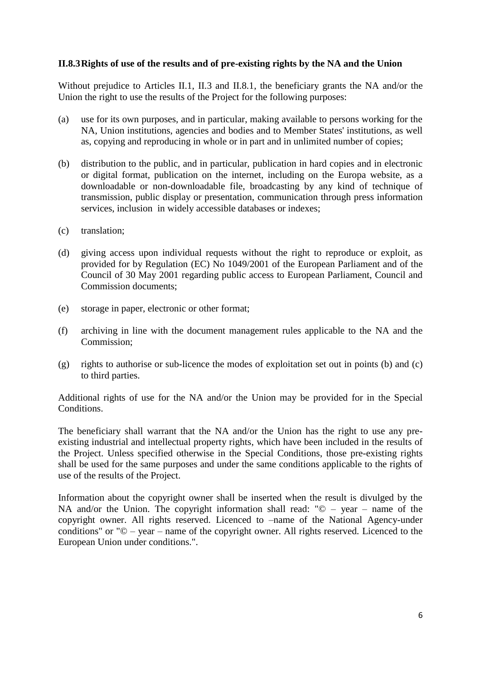### **II.8.3Rights of use of the results and of pre-existing rights by the NA and the Union**

Without prejudice to Articles II.1, II.3 and II.8.1, the beneficiary grants the NA and/or the Union the right to use the results of the Project for the following purposes:

- (a) use for its own purposes, and in particular, making available to persons working for the NA, Union institutions, agencies and bodies and to Member States' institutions, as well as, copying and reproducing in whole or in part and in unlimited number of copies;
- (b) distribution to the public, and in particular, publication in hard copies and in electronic or digital format, publication on the internet, including on the Europa website, as a downloadable or non-downloadable file, broadcasting by any kind of technique of transmission, public display or presentation, communication through press information services, inclusion in widely accessible databases or indexes;
- (c) translation;
- (d) giving access upon individual requests without the right to reproduce or exploit, as provided for by Regulation (EC) No 1049/2001 of the European Parliament and of the Council of 30 May 2001 regarding public access to European Parliament, Council and Commission documents;
- (e) storage in paper, electronic or other format;
- (f) archiving in line with the document management rules applicable to the NA and the Commission;
- (g) rights to authorise or sub-licence the modes of exploitation set out in points (b) and (c) to third parties.

Additional rights of use for the NA and/or the Union may be provided for in the Special Conditions.

The beneficiary shall warrant that the NA and/or the Union has the right to use any preexisting industrial and intellectual property rights, which have been included in the results of the Project. Unless specified otherwise in the Special Conditions, those pre-existing rights shall be used for the same purposes and under the same conditions applicable to the rights of use of the results of the Project.

Information about the copyright owner shall be inserted when the result is divulged by the NA and/or the Union. The copyright information shall read: " $\odot$  – year – name of the copyright owner. All rights reserved. Licenced to –name of the National Agency-under conditions" or "© – year – name of the copyright owner. All rights reserved. Licenced to the European Union under conditions.".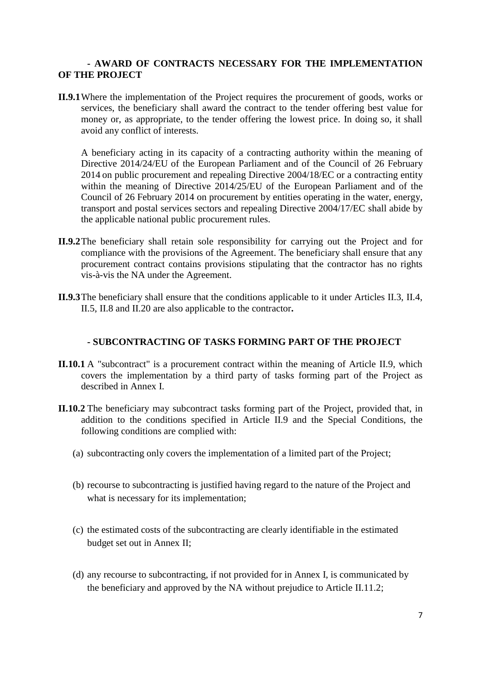#### **- AWARD OF CONTRACTS NECESSARY FOR THE IMPLEMENTATION OF THE PROJECT**

**II.9.1**Where the implementation of the Project requires the procurement of goods, works or services, the beneficiary shall award the contract to the tender offering best value for money or, as appropriate, to the tender offering the lowest price. In doing so, it shall avoid any conflict of interests.

A beneficiary acting in its capacity of a contracting authority within the meaning of Directive 2014/24/EU of the European Parliament and of the Council of 26 February 2014 on public procurement and repealing Directive 2004/18/EC or a contracting entity within the meaning of Directive [2014/25/EU](http://eur-lex.europa.eu/LexUriServ/LexUriServ.do?uri=CELEX:32004L0017:EN:NOT) of the European Parliament and of the Council of 26 February 2014 on procurement by entities operating in the water, energy, transport and postal services sectors and repealing Directive 2004/17/EC shall abide by the applicable national public procurement rules.

- **II.9.2**The beneficiary shall retain sole responsibility for carrying out the Project and for compliance with the provisions of the Agreement. The beneficiary shall ensure that any procurement contract contains provisions stipulating that the contractor has no rights vis-à-vis the NA under the Agreement.
- **II.9.3**The beneficiary shall ensure that the conditions applicable to it under Articles II.3, II.4, II.5, II.8 and II.20 are also applicable to the contractor**.**

#### **- SUBCONTRACTING OF TASKS FORMING PART OF THE PROJECT**

- **II.10.1** A "subcontract" is a procurement contract within the meaning of Article II.9, which covers the implementation by a third party of tasks forming part of the Project as described in Annex I.
- **II.10.2** The beneficiary may subcontract tasks forming part of the Project, provided that, in addition to the conditions specified in Article II.9 and the Special Conditions, the following conditions are complied with:
	- (a) subcontracting only covers the implementation of a limited part of the Project;
	- (b) recourse to subcontracting is justified having regard to the nature of the Project and what is necessary for its implementation;
	- (c) the estimated costs of the subcontracting are clearly identifiable in the estimated budget set out in Annex II;
	- (d) any recourse to subcontracting, if not provided for in Annex I, is communicated by the beneficiary and approved by the NA without prejudice to Article II.11.2;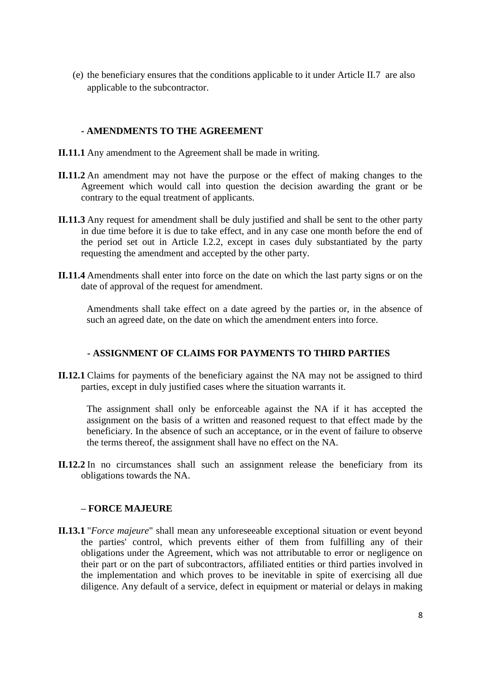(e) the beneficiary ensures that the conditions applicable to it under Article II.7 are also applicable to the subcontractor.

### **- AMENDMENTS TO THE AGREEMENT**

- **II.11.1** Any amendment to the Agreement shall be made in writing.
- **II.11.2** An amendment may not have the purpose or the effect of making changes to the Agreement which would call into question the decision awarding the grant or be contrary to the equal treatment of applicants.
- **II.11.3** Any request for amendment shall be duly justified and shall be sent to the other party in due time before it is due to take effect, and in any case one month before the end of the period set out in Article I.2.2, except in cases duly substantiated by the party requesting the amendment and accepted by the other party.
- **II.11.4** Amendments shall enter into force on the date on which the last party signs or on the date of approval of the request for amendment.

Amendments shall take effect on a date agreed by the parties or, in the absence of such an agreed date, on the date on which the amendment enters into force.

#### **- ASSIGNMENT OF CLAIMS FOR PAYMENTS TO THIRD PARTIES**

**II.12.1** Claims for payments of the beneficiary against the NA may not be assigned to third parties, except in duly justified cases where the situation warrants it.

The assignment shall only be enforceable against the NA if it has accepted the assignment on the basis of a written and reasoned request to that effect made by the beneficiary. In the absence of such an acceptance, or in the event of failure to observe the terms thereof, the assignment shall have no effect on the NA.

**II.12.2** In no circumstances shall such an assignment release the beneficiary from its obligations towards the NA.

#### **– FORCE MAJEURE**

**II.13.1** "*Force majeure*" shall mean any unforeseeable exceptional situation or event beyond the parties' control, which prevents either of them from fulfilling any of their obligations under the Agreement, which was not attributable to error or negligence on their part or on the part of subcontractors, affiliated entities or third parties involved in the implementation and which proves to be inevitable in spite of exercising all due diligence. Any default of a service, defect in equipment or material or delays in making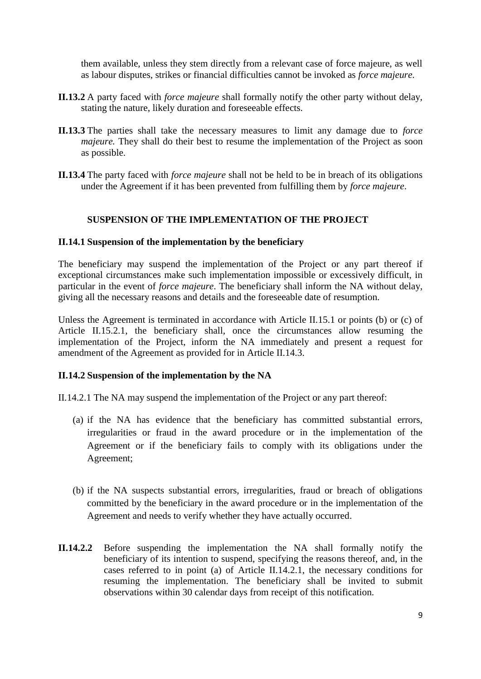them available, unless they stem directly from a relevant case of force majeure, as well as labour disputes, strikes or financial difficulties cannot be invoked as *force majeure*.

- **II.13.2** A party faced with *force majeure* shall formally notify the other party without delay, stating the nature, likely duration and foreseeable effects.
- **II.13.3** The parties shall take the necessary measures to limit any damage due to *force majeure*. They shall do their best to resume the implementation of the Project as soon as possible.
- **II.13.4** The party faced with *force majeure* shall not be held to be in breach of its obligations under the Agreement if it has been prevented from fulfilling them by *force majeure*.

### **SUSPENSION OF THE IMPLEMENTATION OF THE PROJECT**

#### **II.14.1 Suspension of the implementation by the beneficiary**

The beneficiary may suspend the implementation of the Project or any part thereof if exceptional circumstances make such implementation impossible or excessively difficult, in particular in the event of *force majeure*. The beneficiary shall inform the NA without delay, giving all the necessary reasons and details and the foreseeable date of resumption.

Unless the Agreement is terminated in accordance with Article II.15.1 or points (b) or (c) of Article II.15.2.1, the beneficiary shall, once the circumstances allow resuming the implementation of the Project, inform the NA immediately and present a request for amendment of the Agreement as provided for in Article II.14.3.

#### **II.14.2 Suspension of the implementation by the NA**

II.14.2.1 The NA may suspend the implementation of the Project or any part thereof:

- (a) if the NA has evidence that the beneficiary has committed substantial errors, irregularities or fraud in the award procedure or in the implementation of the Agreement or if the beneficiary fails to comply with its obligations under the Agreement;
- (b) if the NA suspects substantial errors, irregularities, fraud or breach of obligations committed by the beneficiary in the award procedure or in the implementation of the Agreement and needs to verify whether they have actually occurred.
- **II.14.2.2** Before suspending the implementation the NA shall formally notify the beneficiary of its intention to suspend, specifying the reasons thereof, and, in the cases referred to in point (a) of Article II.14.2.1, the necessary conditions for resuming the implementation. The beneficiary shall be invited to submit observations within 30 calendar days from receipt of this notification.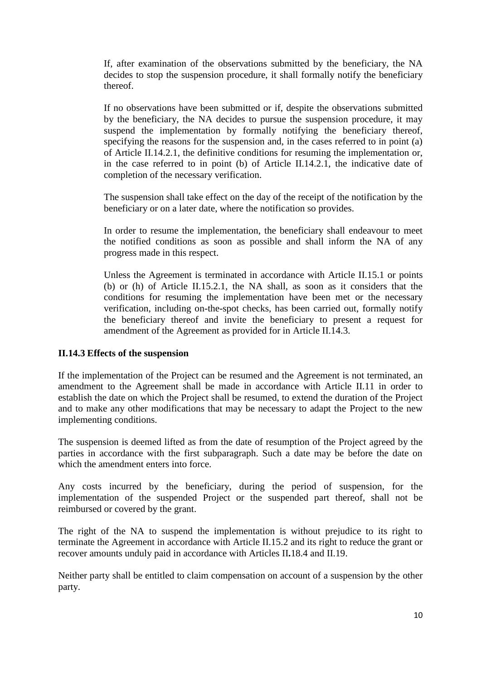If, after examination of the observations submitted by the beneficiary, the NA decides to stop the suspension procedure, it shall formally notify the beneficiary thereof.

If no observations have been submitted or if, despite the observations submitted by the beneficiary, the NA decides to pursue the suspension procedure, it may suspend the implementation by formally notifying the beneficiary thereof, specifying the reasons for the suspension and, in the cases referred to in point (a) of Article II.14.2.1, the definitive conditions for resuming the implementation or, in the case referred to in point (b) of Article II.14.2.1, the indicative date of completion of the necessary verification.

The suspension shall take effect on the day of the receipt of the notification by the beneficiary or on a later date, where the notification so provides.

In order to resume the implementation, the beneficiary shall endeavour to meet the notified conditions as soon as possible and shall inform the NA of any progress made in this respect.

Unless the Agreement is terminated in accordance with Article II.15.1 or points (b) or (h) of Article II.15.2.1, the NA shall, as soon as it considers that the conditions for resuming the implementation have been met or the necessary verification, including on-the-spot checks, has been carried out, formally notify the beneficiary thereof and invite the beneficiary to present a request for amendment of the Agreement as provided for in Article II.14.3.

#### **II.14.3 Effects of the suspension**

If the implementation of the Project can be resumed and the Agreement is not terminated, an amendment to the Agreement shall be made in accordance with Article II.11 in order to establish the date on which the Project shall be resumed, to extend the duration of the Project and to make any other modifications that may be necessary to adapt the Project to the new implementing conditions.

The suspension is deemed lifted as from the date of resumption of the Project agreed by the parties in accordance with the first subparagraph. Such a date may be before the date on which the amendment enters into force.

Any costs incurred by the beneficiary, during the period of suspension, for the implementation of the suspended Project or the suspended part thereof, shall not be reimbursed or covered by the grant.

The right of the NA to suspend the implementation is without prejudice to its right to terminate the Agreement in accordance with Article II.15.2 and its right to reduce the grant or recover amounts unduly paid in accordance with Articles II**.**18.4 and II.19.

Neither party shall be entitled to claim compensation on account of a suspension by the other party.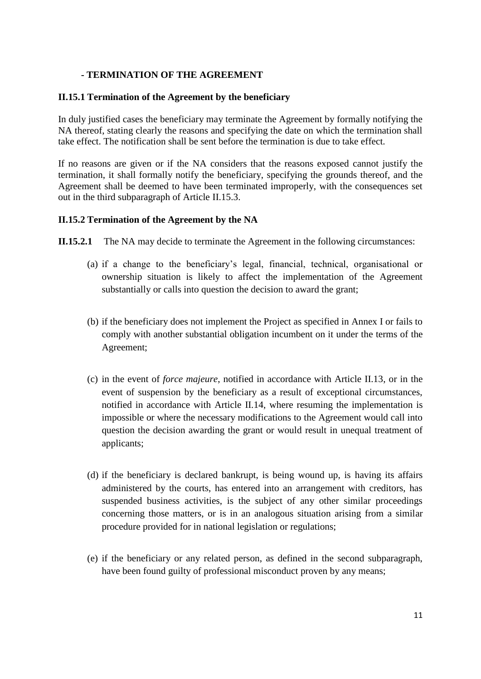### **- TERMINATION OF THE AGREEMENT**

#### **II.15.1 Termination of the Agreement by the beneficiary**

In duly justified cases the beneficiary may terminate the Agreement by formally notifying the NA thereof, stating clearly the reasons and specifying the date on which the termination shall take effect. The notification shall be sent before the termination is due to take effect.

If no reasons are given or if the NA considers that the reasons exposed cannot justify the termination, it shall formally notify the beneficiary, specifying the grounds thereof, and the Agreement shall be deemed to have been terminated improperly, with the consequences set out in the third subparagraph of Article II.15.3.

### **II.15.2 Termination of the Agreement by the NA**

**II.15.2.1** The NA may decide to terminate the Agreement in the following circumstances:

- (a) if a change to the beneficiary's legal, financial, technical, organisational or ownership situation is likely to affect the implementation of the Agreement substantially or calls into question the decision to award the grant;
- (b) if the beneficiary does not implement the Project as specified in Annex I or fails to comply with another substantial obligation incumbent on it under the terms of the Agreement;
- (c) in the event of *force majeure*, notified in accordance with Article II.13, or in the event of suspension by the beneficiary as a result of exceptional circumstances, notified in accordance with Article II.14, where resuming the implementation is impossible or where the necessary modifications to the Agreement would call into question the decision awarding the grant or would result in unequal treatment of applicants;
- (d) if the beneficiary is declared bankrupt, is being wound up, is having its affairs administered by the courts, has entered into an arrangement with creditors, has suspended business activities, is the subject of any other similar proceedings concerning those matters, or is in an analogous situation arising from a similar procedure provided for in national legislation or regulations;
- (e) if the beneficiary or any related person, as defined in the second subparagraph, have been found guilty of professional misconduct proven by any means;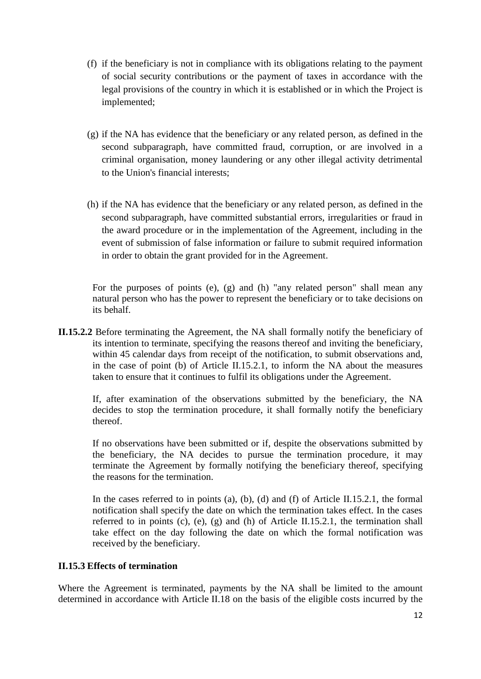- (f) if the beneficiary is not in compliance with its obligations relating to the payment of social security contributions or the payment of taxes in accordance with the legal provisions of the country in which it is established or in which the Project is implemented;
- (g) if the NA has evidence that the beneficiary or any related person, as defined in the second subparagraph, have committed fraud, corruption, or are involved in a criminal organisation, money laundering or any other illegal activity detrimental to the Union's financial interests;
- (h) if the NA has evidence that the beneficiary or any related person, as defined in the second subparagraph, have committed substantial errors, irregularities or fraud in the award procedure or in the implementation of the Agreement, including in the event of submission of false information or failure to submit required information in order to obtain the grant provided for in the Agreement.

For the purposes of points (e), (g) and (h) "any related person" shall mean any natural person who has the power to represent the beneficiary or to take decisions on its behalf.

**II.15.2.2** Before terminating the Agreement, the NA shall formally notify the beneficiary of its intention to terminate, specifying the reasons thereof and inviting the beneficiary, within 45 calendar days from receipt of the notification, to submit observations and, in the case of point (b) of Article II.15.2.1, to inform the NA about the measures taken to ensure that it continues to fulfil its obligations under the Agreement.

If, after examination of the observations submitted by the beneficiary, the NA decides to stop the termination procedure, it shall formally notify the beneficiary thereof.

If no observations have been submitted or if, despite the observations submitted by the beneficiary, the NA decides to pursue the termination procedure, it may terminate the Agreement by formally notifying the beneficiary thereof, specifying the reasons for the termination.

In the cases referred to in points (a), (b), (d) and (f) of Article II.15.2.1, the formal notification shall specify the date on which the termination takes effect. In the cases referred to in points (c), (e), (g) and (h) of Article II.15.2.1, the termination shall take effect on the day following the date on which the formal notification was received by the beneficiary.

#### **II.15.3 Effects of termination**

Where the Agreement is terminated, payments by the NA shall be limited to the amount determined in accordance with Article II.18 on the basis of the eligible costs incurred by the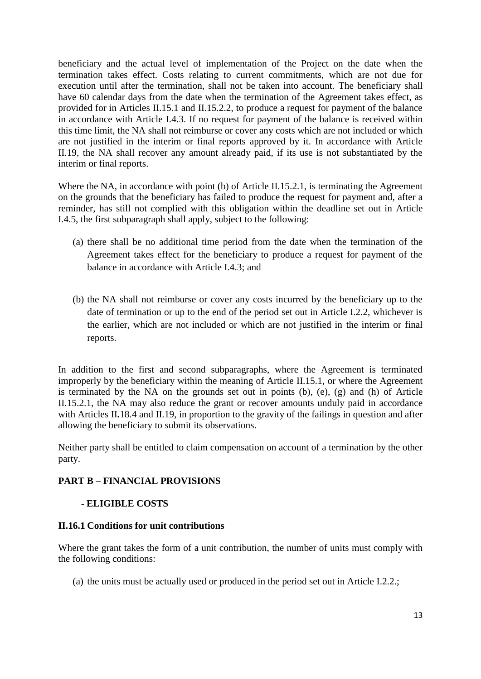beneficiary and the actual level of implementation of the Project on the date when the termination takes effect. Costs relating to current commitments, which are not due for execution until after the termination, shall not be taken into account. The beneficiary shall have 60 calendar days from the date when the termination of the Agreement takes effect, as provided for in Articles II.15.1 and II.15.2.2, to produce a request for payment of the balance in accordance with Article I.4.3. If no request for payment of the balance is received within this time limit, the NA shall not reimburse or cover any costs which are not included or which are not justified in the interim or final reports approved by it. In accordance with Article II.19, the NA shall recover any amount already paid, if its use is not substantiated by the interim or final reports.

Where the NA, in accordance with point (b) of Article II.15.2.1, is terminating the Agreement on the grounds that the beneficiary has failed to produce the request for payment and, after a reminder, has still not complied with this obligation within the deadline set out in Article I.4.5, the first subparagraph shall apply, subject to the following:

- (a) there shall be no additional time period from the date when the termination of the Agreement takes effect for the beneficiary to produce a request for payment of the balance in accordance with Article I.4.3; and
- (b) the NA shall not reimburse or cover any costs incurred by the beneficiary up to the date of termination or up to the end of the period set out in Article I.2.2, whichever is the earlier, which are not included or which are not justified in the interim or final reports.

In addition to the first and second subparagraphs, where the Agreement is terminated improperly by the beneficiary within the meaning of Article II.15.1, or where the Agreement is terminated by the NA on the grounds set out in points (b), (e), (g) and (h) of Article II.15.2.1, the NA may also reduce the grant or recover amounts unduly paid in accordance with Articles II.18.4 and II.19, in proportion to the gravity of the failings in question and after allowing the beneficiary to submit its observations.

Neither party shall be entitled to claim compensation on account of a termination by the other party.

# **PART B – FINANCIAL PROVISIONS**

# **- ELIGIBLE COSTS**

#### **II.16.1 Conditions for unit contributions**

Where the grant takes the form of a unit contribution, the number of units must comply with the following conditions:

(a) the units must be actually used or produced in the period set out in Article I.2.2.;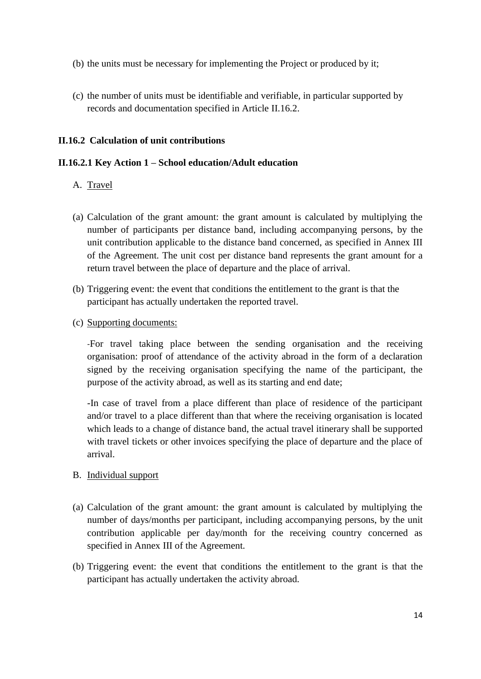- (b) the units must be necessary for implementing the Project or produced by it;
- (c) the number of units must be identifiable and verifiable, in particular supported by records and documentation specified in Article II.16.2.

### **II.16.2 Calculation of unit contributions**

### **II.16.2.1 Key Action 1 – School education/Adult education**

- A. Travel
- (a) Calculation of the grant amount: the grant amount is calculated by multiplying the number of participants per distance band, including accompanying persons, by the unit contribution applicable to the distance band concerned, as specified in Annex III of the Agreement. The unit cost per distance band represents the grant amount for a return travel between the place of departure and the place of arrival.
- (b) Triggering event: the event that conditions the entitlement to the grant is that the participant has actually undertaken the reported travel.
- (c) Supporting documents:

-For travel taking place between the sending organisation and the receiving organisation: proof of attendance of the activity abroad in the form of a declaration signed by the receiving organisation specifying the name of the participant, the purpose of the activity abroad, as well as its starting and end date;

-In case of travel from a place different than place of residence of the participant and/or travel to a place different than that where the receiving organisation is located which leads to a change of distance band, the actual travel itinerary shall be supported with travel tickets or other invoices specifying the place of departure and the place of arrival.

#### B. Individual support

- (a) Calculation of the grant amount: the grant amount is calculated by multiplying the number of days/months per participant, including accompanying persons, by the unit contribution applicable per day/month for the receiving country concerned as specified in Annex III of the Agreement.
- (b) Triggering event: the event that conditions the entitlement to the grant is that the participant has actually undertaken the activity abroad.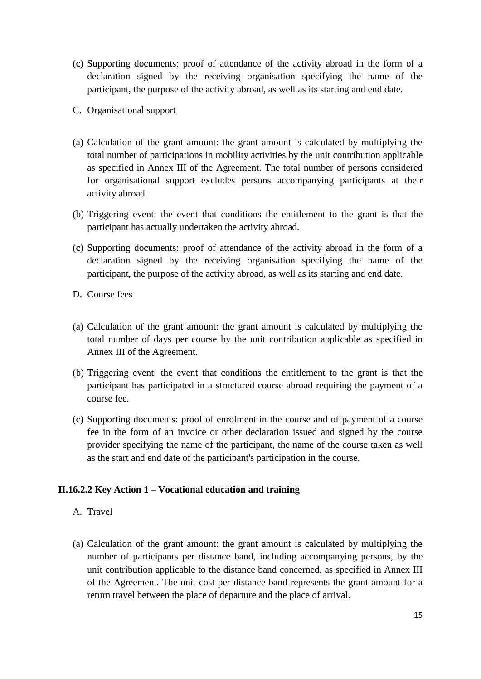(c) Supporting documents: proof of attendance of the activity abroad in the form of a declaration signed by the receiving organisation specifying the name of the participant, the purpose of the activity abroad, as well as its starting and end date.

# C. Organisational support

- (a) Calculation of the grant amount: the grant amount is calculated by multiplying the total number of participations in mobility activities by the unit contribution applicable as specified in Annex III of the Agreement. The total number of persons considered for organisational support excludes persons accompanying participants at their activity abroad.
- (b) Triggering event: the event that conditions the entitlement to the grant is that the participant has actually undertaken the activity abroad.
- (c) Supporting documents: proof of attendance of the activity abroad in the form of a declaration signed by the receiving organisation specifying the name of the participant, the purpose of the activity abroad, as well as its starting and end date.
- D. Course fees
- (a) Calculation of the grant amount: the grant amount is calculated by multiplying the total number of days per course by the unit contribution applicable as specified in Annex III of the Agreement.
- (b) Triggering event: the event that conditions the entitlement to the grant is that the participant has participated in a structured course abroad requiring the payment of a course fee.
- (c) Supporting documents: proof of enrolment in the course and of payment of a course fee in the form of an invoice or other declaration issued and signed by the course provider specifying the name of the participant, the name of the course taken as well as the start and end date of the participant's participation in the course.

# **II.16.2.2 Key Action 1 – Vocational education and training**

- A. Travel
- (a) Calculation of the grant amount: the grant amount is calculated by multiplying the number of participants per distance band, including accompanying persons, by the unit contribution applicable to the distance band concerned, as specified in Annex III of the Agreement. The unit cost per distance band represents the grant amount for a return travel between the place of departure and the place of arrival.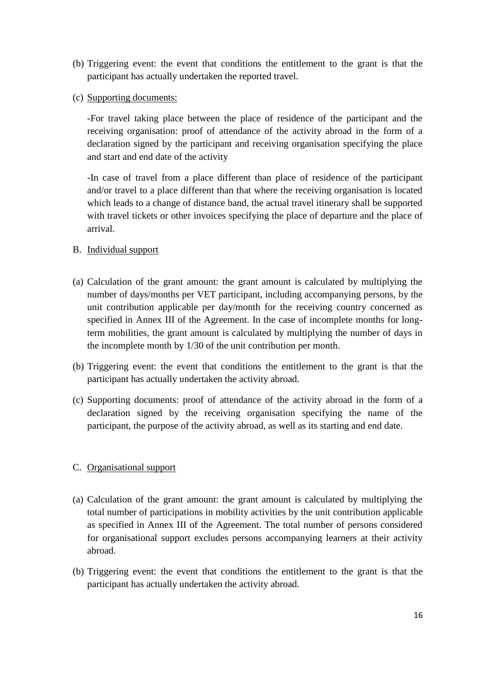- (b) Triggering event: the event that conditions the entitlement to the grant is that the participant has actually undertaken the reported travel.
- (c) Supporting documents:

-For travel taking place between the place of residence of the participant and the receiving organisation: proof of attendance of the activity abroad in the form of a declaration signed by the participant and receiving organisation specifying the place and start and end date of the activity

-In case of travel from a place different than place of residence of the participant and/or travel to a place different than that where the receiving organisation is located which leads to a change of distance band, the actual travel itinerary shall be supported with travel tickets or other invoices specifying the place of departure and the place of arrival.

# B. Individual support

- (a) Calculation of the grant amount: the grant amount is calculated by multiplying the number of days/months per VET participant, including accompanying persons, by the unit contribution applicable per day/month for the receiving country concerned as specified in Annex III of the Agreement. In the case of incomplete months for longterm mobilities, the grant amount is calculated by multiplying the number of days in the incomplete month by 1/30 of the unit contribution per month.
- (b) Triggering event: the event that conditions the entitlement to the grant is that the participant has actually undertaken the activity abroad.
- (c) Supporting documents: proof of attendance of the activity abroad in the form of a declaration signed by the receiving organisation specifying the name of the participant, the purpose of the activity abroad, as well as its starting and end date.

# C. Organisational support

- (a) Calculation of the grant amount: the grant amount is calculated by multiplying the total number of participations in mobility activities by the unit contribution applicable as specified in Annex III of the Agreement. The total number of persons considered for organisational support excludes persons accompanying learners at their activity abroad.
- (b) Triggering event: the event that conditions the entitlement to the grant is that the participant has actually undertaken the activity abroad.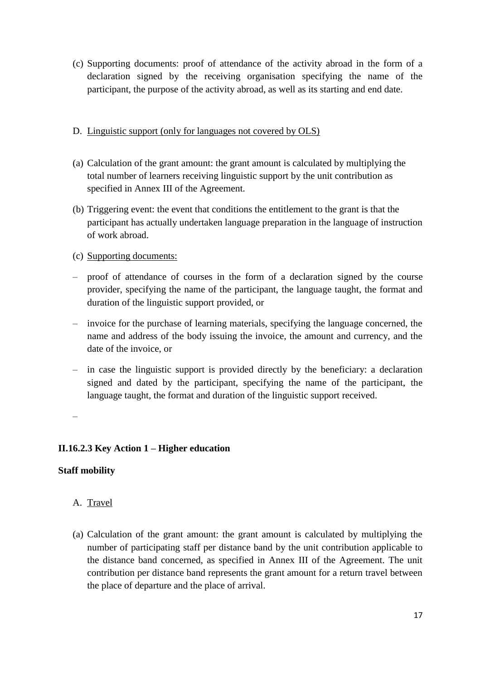(c) Supporting documents: proof of attendance of the activity abroad in the form of a declaration signed by the receiving organisation specifying the name of the participant, the purpose of the activity abroad, as well as its starting and end date.

# D. Linguistic support (only for languages not covered by OLS)

- (a) Calculation of the grant amount: the grant amount is calculated by multiplying the total number of learners receiving linguistic support by the unit contribution as specified in Annex III of the Agreement.
- (b) Triggering event: the event that conditions the entitlement to the grant is that the participant has actually undertaken language preparation in the language of instruction of work abroad.

# (c) Supporting documents:

- proof of attendance of courses in the form of a declaration signed by the course provider, specifying the name of the participant, the language taught, the format and duration of the linguistic support provided, or
- invoice for the purchase of learning materials, specifying the language concerned, the name and address of the body issuing the invoice, the amount and currency, and the date of the invoice, or
- in case the linguistic support is provided directly by the beneficiary: a declaration signed and dated by the participant, specifying the name of the participant, the language taught, the format and duration of the linguistic support received.

–

# **II.16.2.3 Key Action 1 – Higher education**

# **Staff mobility**

# A. Travel

(a) Calculation of the grant amount: the grant amount is calculated by multiplying the number of participating staff per distance band by the unit contribution applicable to the distance band concerned, as specified in Annex III of the Agreement. The unit contribution per distance band represents the grant amount for a return travel between the place of departure and the place of arrival.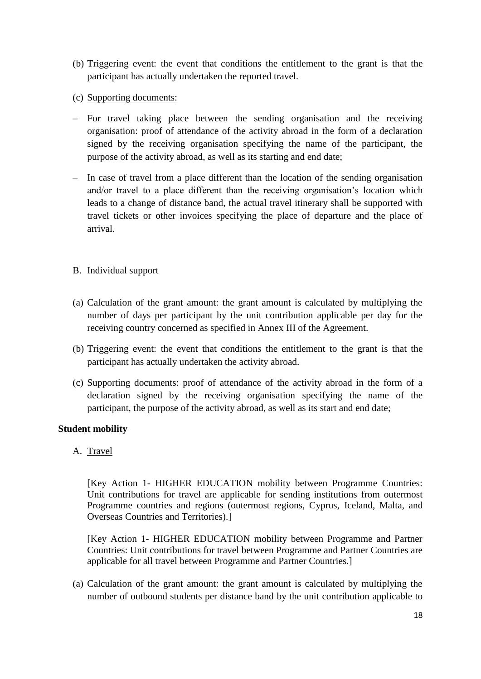- (b) Triggering event: the event that conditions the entitlement to the grant is that the participant has actually undertaken the reported travel.
- (c) Supporting documents:
- For travel taking place between the sending organisation and the receiving organisation: proof of attendance of the activity abroad in the form of a declaration signed by the receiving organisation specifying the name of the participant, the purpose of the activity abroad, as well as its starting and end date;
- In case of travel from a place different than the location of the sending organisation and/or travel to a place different than the receiving organisation's location which leads to a change of distance band, the actual travel itinerary shall be supported with travel tickets or other invoices specifying the place of departure and the place of arrival.

# B. Individual support

- (a) Calculation of the grant amount: the grant amount is calculated by multiplying the number of days per participant by the unit contribution applicable per day for the receiving country concerned as specified in Annex III of the Agreement.
- (b) Triggering event: the event that conditions the entitlement to the grant is that the participant has actually undertaken the activity abroad.
- (c) Supporting documents: proof of attendance of the activity abroad in the form of a declaration signed by the receiving organisation specifying the name of the participant, the purpose of the activity abroad, as well as its start and end date;

#### **Student mobility**

A. Travel

[Key Action 1- HIGHER EDUCATION mobility between Programme Countries: Unit contributions for travel are applicable for sending institutions from outermost Programme countries and regions (outermost regions, Cyprus, Iceland, Malta, and Overseas Countries and Territories).]

[Key Action 1- HIGHER EDUCATION mobility between Programme and Partner Countries: Unit contributions for travel between Programme and Partner Countries are applicable for all travel between Programme and Partner Countries.]

(a) Calculation of the grant amount: the grant amount is calculated by multiplying the number of outbound students per distance band by the unit contribution applicable to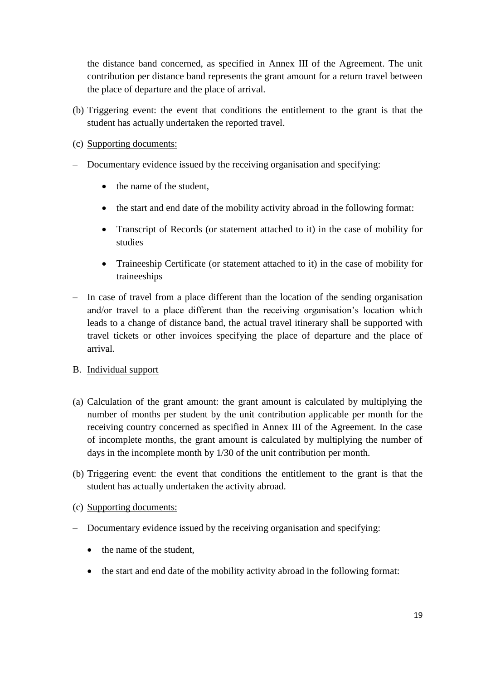the distance band concerned, as specified in Annex III of the Agreement. The unit contribution per distance band represents the grant amount for a return travel between the place of departure and the place of arrival.

- (b) Triggering event: the event that conditions the entitlement to the grant is that the student has actually undertaken the reported travel.
- (c) Supporting documents:
- Documentary evidence issued by the receiving organisation and specifying:
	- the name of the student,
	- the start and end date of the mobility activity abroad in the following format:
	- Transcript of Records (or statement attached to it) in the case of mobility for studies
	- Traineeship Certificate (or statement attached to it) in the case of mobility for traineeships
- In case of travel from a place different than the location of the sending organisation and/or travel to a place different than the receiving organisation's location which leads to a change of distance band, the actual travel itinerary shall be supported with travel tickets or other invoices specifying the place of departure and the place of arrival.
- B. Individual support
- (a) Calculation of the grant amount: the grant amount is calculated by multiplying the number of months per student by the unit contribution applicable per month for the receiving country concerned as specified in Annex III of the Agreement. In the case of incomplete months, the grant amount is calculated by multiplying the number of days in the incomplete month by 1/30 of the unit contribution per month.
- (b) Triggering event: the event that conditions the entitlement to the grant is that the student has actually undertaken the activity abroad.
- (c) Supporting documents:
- Documentary evidence issued by the receiving organisation and specifying:
	- the name of the student.
	- the start and end date of the mobility activity abroad in the following format: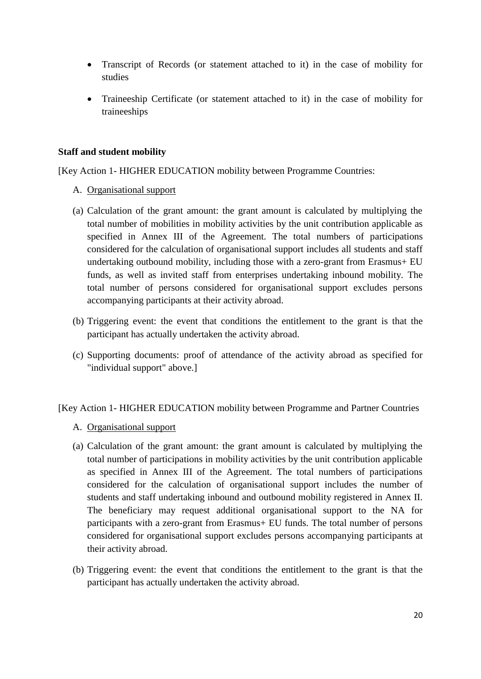- Transcript of Records (or statement attached to it) in the case of mobility for studies
- Traineeship Certificate (or statement attached to it) in the case of mobility for traineeships

### **Staff and student mobility**

[Key Action 1- HIGHER EDUCATION mobility between Programme Countries:

- A. Organisational support
- (a) Calculation of the grant amount: the grant amount is calculated by multiplying the total number of mobilities in mobility activities by the unit contribution applicable as specified in Annex III of the Agreement. The total numbers of participations considered for the calculation of organisational support includes all students and staff undertaking outbound mobility, including those with a zero-grant from Erasmus+ EU funds, as well as invited staff from enterprises undertaking inbound mobility. The total number of persons considered for organisational support excludes persons accompanying participants at their activity abroad.
- (b) Triggering event: the event that conditions the entitlement to the grant is that the participant has actually undertaken the activity abroad.
- (c) Supporting documents: proof of attendance of the activity abroad as specified for "individual support" above.]

#### [Key Action 1- HIGHER EDUCATION mobility between Programme and Partner Countries

- A. Organisational support
- (a) Calculation of the grant amount: the grant amount is calculated by multiplying the total number of participations in mobility activities by the unit contribution applicable as specified in Annex III of the Agreement. The total numbers of participations considered for the calculation of organisational support includes the number of students and staff undertaking inbound and outbound mobility registered in Annex II. The beneficiary may request additional organisational support to the NA for participants with a zero-grant from Erasmus+ EU funds. The total number of persons considered for organisational support excludes persons accompanying participants at their activity abroad.
- (b) Triggering event: the event that conditions the entitlement to the grant is that the participant has actually undertaken the activity abroad.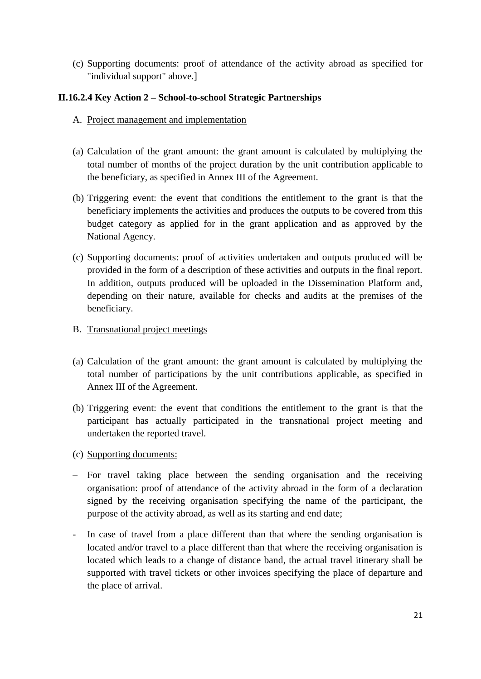(c) Supporting documents: proof of attendance of the activity abroad as specified for "individual support" above.]

### **II.16.2.4 Key Action 2 – School-to-school Strategic Partnerships**

- A. Project management and implementation
- (a) Calculation of the grant amount: the grant amount is calculated by multiplying the total number of months of the project duration by the unit contribution applicable to the beneficiary, as specified in Annex III of the Agreement.
- (b) Triggering event: the event that conditions the entitlement to the grant is that the beneficiary implements the activities and produces the outputs to be covered from this budget category as applied for in the grant application and as approved by the National Agency.
- (c) Supporting documents: proof of activities undertaken and outputs produced will be provided in the form of a description of these activities and outputs in the final report. In addition, outputs produced will be uploaded in the Dissemination Platform and, depending on their nature, available for checks and audits at the premises of the beneficiary.
- B. Transnational project meetings
- (a) Calculation of the grant amount: the grant amount is calculated by multiplying the total number of participations by the unit contributions applicable, as specified in Annex III of the Agreement.
- (b) Triggering event: the event that conditions the entitlement to the grant is that the participant has actually participated in the transnational project meeting and undertaken the reported travel.
- (c) Supporting documents:
- For travel taking place between the sending organisation and the receiving organisation: proof of attendance of the activity abroad in the form of a declaration signed by the receiving organisation specifying the name of the participant, the purpose of the activity abroad, as well as its starting and end date;
- In case of travel from a place different than that where the sending organisation is located and/or travel to a place different than that where the receiving organisation is located which leads to a change of distance band, the actual travel itinerary shall be supported with travel tickets or other invoices specifying the place of departure and the place of arrival.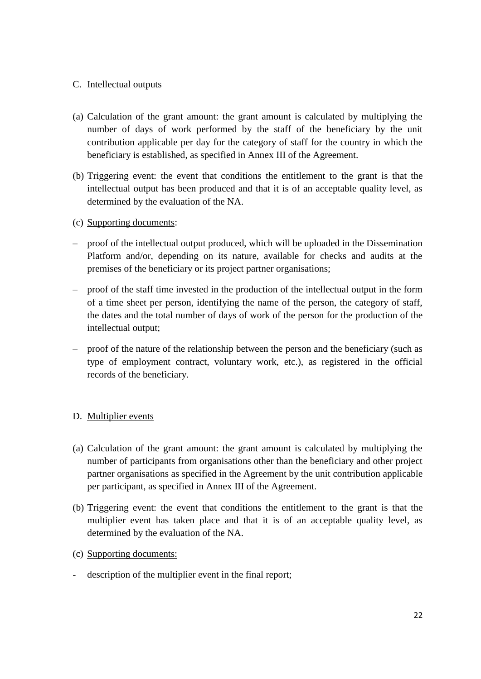# C. Intellectual outputs

- (a) Calculation of the grant amount: the grant amount is calculated by multiplying the number of days of work performed by the staff of the beneficiary by the unit contribution applicable per day for the category of staff for the country in which the beneficiary is established, as specified in Annex III of the Agreement.
- (b) Triggering event: the event that conditions the entitlement to the grant is that the intellectual output has been produced and that it is of an acceptable quality level, as determined by the evaluation of the NA.
- (c) Supporting documents:
- proof of the intellectual output produced, which will be uploaded in the Dissemination Platform and/or, depending on its nature, available for checks and audits at the premises of the beneficiary or its project partner organisations;
- proof of the staff time invested in the production of the intellectual output in the form of a time sheet per person, identifying the name of the person, the category of staff, the dates and the total number of days of work of the person for the production of the intellectual output;
- proof of the nature of the relationship between the person and the beneficiary (such as type of employment contract, voluntary work, etc.), as registered in the official records of the beneficiary.

# D. Multiplier events

- (a) Calculation of the grant amount: the grant amount is calculated by multiplying the number of participants from organisations other than the beneficiary and other project partner organisations as specified in the Agreement by the unit contribution applicable per participant, as specified in Annex III of the Agreement.
- (b) Triggering event: the event that conditions the entitlement to the grant is that the multiplier event has taken place and that it is of an acceptable quality level, as determined by the evaluation of the NA.
- (c) Supporting documents:
- description of the multiplier event in the final report;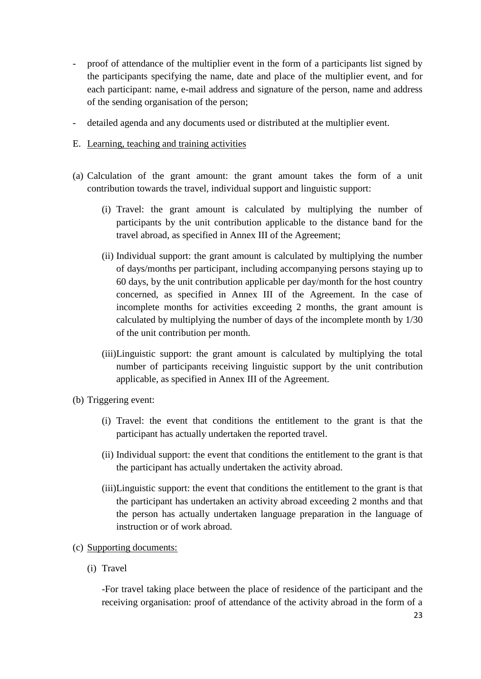- proof of attendance of the multiplier event in the form of a participants list signed by the participants specifying the name, date and place of the multiplier event, and for each participant: name, e-mail address and signature of the person, name and address of the sending organisation of the person;
- detailed agenda and any documents used or distributed at the multiplier event.
- E. Learning, teaching and training activities
- (a) Calculation of the grant amount: the grant amount takes the form of a unit contribution towards the travel, individual support and linguistic support:
	- (i) Travel: the grant amount is calculated by multiplying the number of participants by the unit contribution applicable to the distance band for the travel abroad, as specified in Annex III of the Agreement;
	- (ii) Individual support: the grant amount is calculated by multiplying the number of days/months per participant, including accompanying persons staying up to 60 days, by the unit contribution applicable per day/month for the host country concerned, as specified in Annex III of the Agreement. In the case of incomplete months for activities exceeding 2 months, the grant amount is calculated by multiplying the number of days of the incomplete month by 1/30 of the unit contribution per month.
	- (iii)Linguistic support: the grant amount is calculated by multiplying the total number of participants receiving linguistic support by the unit contribution applicable, as specified in Annex III of the Agreement.
- (b) Triggering event:
	- (i) Travel: the event that conditions the entitlement to the grant is that the participant has actually undertaken the reported travel.
	- (ii) Individual support: the event that conditions the entitlement to the grant is that the participant has actually undertaken the activity abroad.
	- (iii)Linguistic support: the event that conditions the entitlement to the grant is that the participant has undertaken an activity abroad exceeding 2 months and that the person has actually undertaken language preparation in the language of instruction or of work abroad.
- (c) Supporting documents:
	- (i) Travel

-For travel taking place between the place of residence of the participant and the receiving organisation: proof of attendance of the activity abroad in the form of a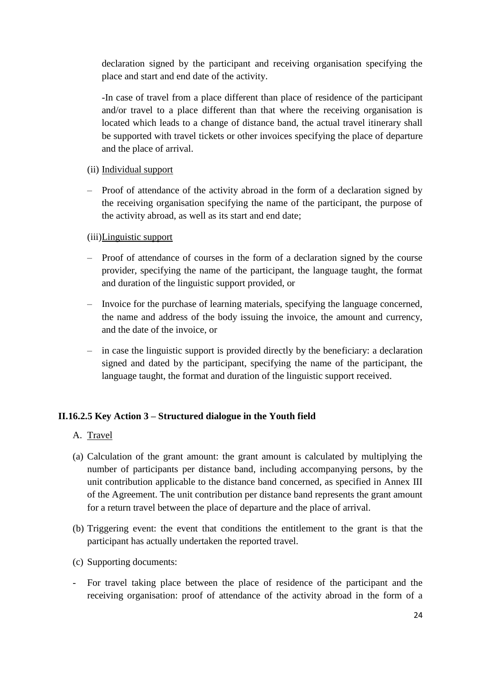declaration signed by the participant and receiving organisation specifying the place and start and end date of the activity.

-In case of travel from a place different than place of residence of the participant and/or travel to a place different than that where the receiving organisation is located which leads to a change of distance band, the actual travel itinerary shall be supported with travel tickets or other invoices specifying the place of departure and the place of arrival.

### (ii) Individual support

– Proof of attendance of the activity abroad in the form of a declaration signed by the receiving organisation specifying the name of the participant, the purpose of the activity abroad, as well as its start and end date;

### (iii)Linguistic support

- Proof of attendance of courses in the form of a declaration signed by the course provider, specifying the name of the participant, the language taught, the format and duration of the linguistic support provided, or
- Invoice for the purchase of learning materials, specifying the language concerned, the name and address of the body issuing the invoice, the amount and currency, and the date of the invoice, or
- in case the linguistic support is provided directly by the beneficiary: a declaration signed and dated by the participant, specifying the name of the participant, the language taught, the format and duration of the linguistic support received.

# **II.16.2.5 Key Action 3 – Structured dialogue in the Youth field**

- A. Travel
- (a) Calculation of the grant amount: the grant amount is calculated by multiplying the number of participants per distance band, including accompanying persons, by the unit contribution applicable to the distance band concerned, as specified in Annex III of the Agreement. The unit contribution per distance band represents the grant amount for a return travel between the place of departure and the place of arrival.
- (b) Triggering event: the event that conditions the entitlement to the grant is that the participant has actually undertaken the reported travel.
- (c) Supporting documents:
- For travel taking place between the place of residence of the participant and the receiving organisation: proof of attendance of the activity abroad in the form of a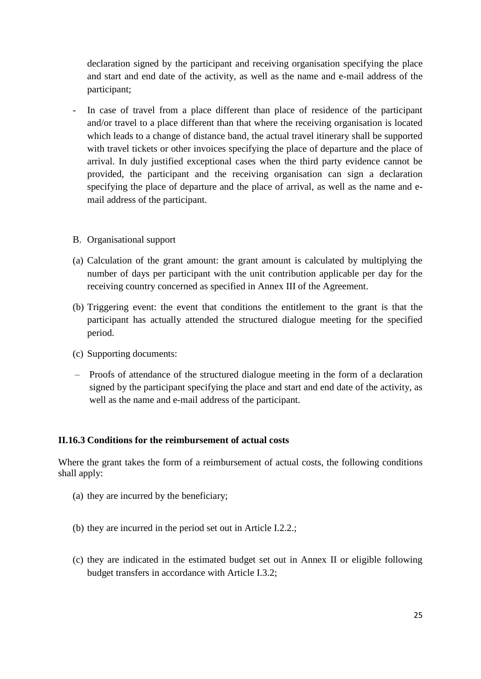declaration signed by the participant and receiving organisation specifying the place and start and end date of the activity, as well as the name and e-mail address of the participant;

- In case of travel from a place different than place of residence of the participant and/or travel to a place different than that where the receiving organisation is located which leads to a change of distance band, the actual travel itinerary shall be supported with travel tickets or other invoices specifying the place of departure and the place of arrival. In duly justified exceptional cases when the third party evidence cannot be provided, the participant and the receiving organisation can sign a declaration specifying the place of departure and the place of arrival, as well as the name and email address of the participant.
- B. Organisational support
- (a) Calculation of the grant amount: the grant amount is calculated by multiplying the number of days per participant with the unit contribution applicable per day for the receiving country concerned as specified in Annex III of the Agreement.
- (b) Triggering event: the event that conditions the entitlement to the grant is that the participant has actually attended the structured dialogue meeting for the specified period.
- (c) Supporting documents:
- Proofs of attendance of the structured dialogue meeting in the form of a declaration signed by the participant specifying the place and start and end date of the activity, as well as the name and e-mail address of the participant.

#### **II.16.3 Conditions for the reimbursement of actual costs**

Where the grant takes the form of a reimbursement of actual costs, the following conditions shall apply:

- (a) they are incurred by the beneficiary;
- (b) they are incurred in the period set out in Article I.2.2.;
- (c) they are indicated in the estimated budget set out in Annex II or eligible following budget transfers in accordance with Article I.3.2;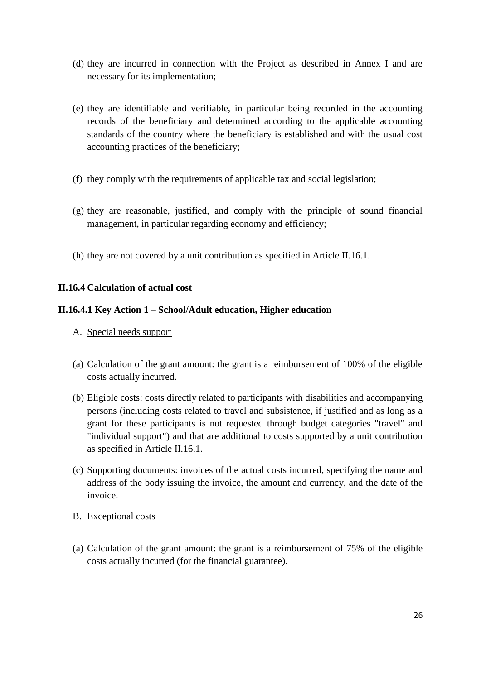- (d) they are incurred in connection with the Project as described in Annex I and are necessary for its implementation;
- (e) they are identifiable and verifiable, in particular being recorded in the accounting records of the beneficiary and determined according to the applicable accounting standards of the country where the beneficiary is established and with the usual cost accounting practices of the beneficiary;
- (f) they comply with the requirements of applicable tax and social legislation;
- (g) they are reasonable, justified, and comply with the principle of sound financial management, in particular regarding economy and efficiency;
- (h) they are not covered by a unit contribution as specified in Article II.16.1.

### **II.16.4 Calculation of actual cost**

#### **II.16.4.1 Key Action 1 – School/Adult education, Higher education**

- A. Special needs support
- (a) Calculation of the grant amount: the grant is a reimbursement of 100% of the eligible costs actually incurred.
- (b) Eligible costs: costs directly related to participants with disabilities and accompanying persons (including costs related to travel and subsistence, if justified and as long as a grant for these participants is not requested through budget categories "travel" and "individual support") and that are additional to costs supported by a unit contribution as specified in Article II.16.1.
- (c) Supporting documents: invoices of the actual costs incurred, specifying the name and address of the body issuing the invoice, the amount and currency, and the date of the invoice.
- B. Exceptional costs
- (a) Calculation of the grant amount: the grant is a reimbursement of 75% of the eligible costs actually incurred (for the financial guarantee).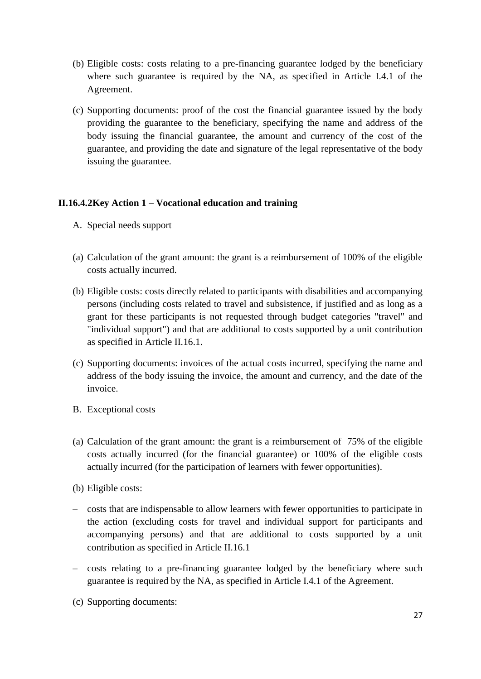- (b) Eligible costs: costs relating to a pre-financing guarantee lodged by the beneficiary where such guarantee is required by the NA, as specified in Article I.4.1 of the Agreement.
- (c) Supporting documents: proof of the cost the financial guarantee issued by the body providing the guarantee to the beneficiary, specifying the name and address of the body issuing the financial guarantee, the amount and currency of the cost of the guarantee, and providing the date and signature of the legal representative of the body issuing the guarantee.

# **II.16.4.2Key Action 1 – Vocational education and training**

- A. Special needs support
- (a) Calculation of the grant amount: the grant is a reimbursement of 100% of the eligible costs actually incurred.
- (b) Eligible costs: costs directly related to participants with disabilities and accompanying persons (including costs related to travel and subsistence, if justified and as long as a grant for these participants is not requested through budget categories "travel" and "individual support") and that are additional to costs supported by a unit contribution as specified in Article II.16.1.
- (c) Supporting documents: invoices of the actual costs incurred, specifying the name and address of the body issuing the invoice, the amount and currency, and the date of the invoice.
- B. Exceptional costs
- (a) Calculation of the grant amount: the grant is a reimbursement of 75% of the eligible costs actually incurred (for the financial guarantee) or 100% of the eligible costs actually incurred (for the participation of learners with fewer opportunities).
- (b) Eligible costs:
- costs that are indispensable to allow learners with fewer opportunities to participate in the action (excluding costs for travel and individual support for participants and accompanying persons) and that are additional to costs supported by a unit contribution as specified in Article II.16.1
- costs relating to a pre-financing guarantee lodged by the beneficiary where such guarantee is required by the NA, as specified in Article I.4.1 of the Agreement.
- (c) Supporting documents: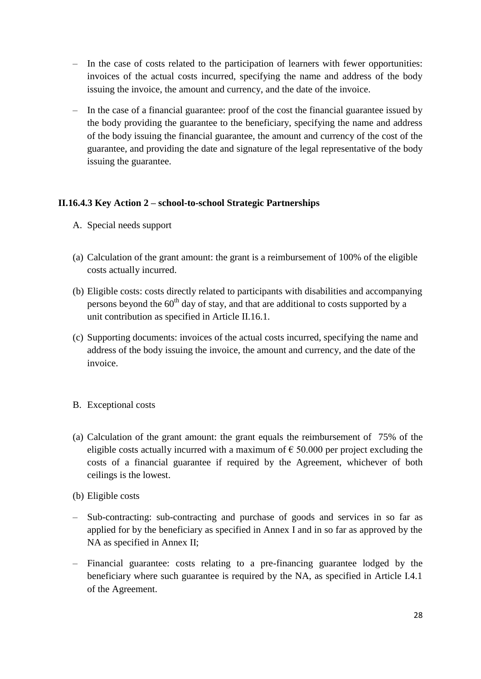- In the case of costs related to the participation of learners with fewer opportunities: invoices of the actual costs incurred, specifying the name and address of the body issuing the invoice, the amount and currency, and the date of the invoice.
- In the case of a financial guarantee: proof of the cost the financial guarantee issued by the body providing the guarantee to the beneficiary, specifying the name and address of the body issuing the financial guarantee, the amount and currency of the cost of the guarantee, and providing the date and signature of the legal representative of the body issuing the guarantee.

# **II.16.4.3 Key Action 2 – school-to-school Strategic Partnerships**

- A. Special needs support
- (a) Calculation of the grant amount: the grant is a reimbursement of 100% of the eligible costs actually incurred.
- (b) Eligible costs: costs directly related to participants with disabilities and accompanying persons beyond the  $60<sup>th</sup>$  day of stay, and that are additional to costs supported by a unit contribution as specified in Article II.16.1.
- (c) Supporting documents: invoices of the actual costs incurred, specifying the name and address of the body issuing the invoice, the amount and currency, and the date of the invoice.
- B. Exceptional costs
- (a) Calculation of the grant amount: the grant equals the reimbursement of 75% of the eligible costs actually incurred with a maximum of  $\epsilon$  50.000 per project excluding the costs of a financial guarantee if required by the Agreement, whichever of both ceilings is the lowest.
- (b) Eligible costs
- Sub-contracting: sub-contracting and purchase of goods and services in so far as applied for by the beneficiary as specified in Annex I and in so far as approved by the NA as specified in Annex II;
- Financial guarantee: costs relating to a pre-financing guarantee lodged by the beneficiary where such guarantee is required by the NA, as specified in Article I.4.1 of the Agreement.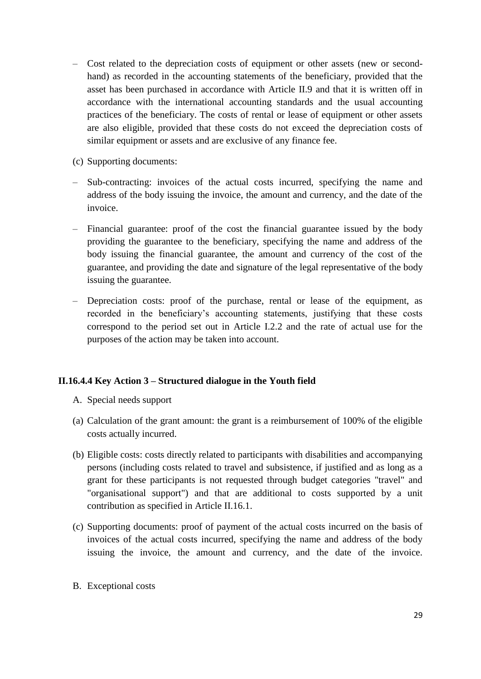- Cost related to the depreciation costs of equipment or other assets (new or secondhand) as recorded in the accounting statements of the beneficiary, provided that the asset has been purchased in accordance with Article II.9 and that it is written off in accordance with the international accounting standards and the usual accounting practices of the beneficiary. The costs of rental or lease of equipment or other assets are also eligible, provided that these costs do not exceed the depreciation costs of similar equipment or assets and are exclusive of any finance fee.
- (c) Supporting documents:
- Sub-contracting: invoices of the actual costs incurred, specifying the name and address of the body issuing the invoice, the amount and currency, and the date of the invoice.
- Financial guarantee: proof of the cost the financial guarantee issued by the body providing the guarantee to the beneficiary, specifying the name and address of the body issuing the financial guarantee, the amount and currency of the cost of the guarantee, and providing the date and signature of the legal representative of the body issuing the guarantee.
- Depreciation costs: proof of the purchase, rental or lease of the equipment, as recorded in the beneficiary's accounting statements, justifying that these costs correspond to the period set out in Article I.2.2 and the rate of actual use for the purposes of the action may be taken into account.

# **II.16.4.4 Key Action 3 – Structured dialogue in the Youth field**

- A. Special needs support
- (a) Calculation of the grant amount: the grant is a reimbursement of 100% of the eligible costs actually incurred.
- (b) Eligible costs: costs directly related to participants with disabilities and accompanying persons (including costs related to travel and subsistence, if justified and as long as a grant for these participants is not requested through budget categories "travel" and "organisational support") and that are additional to costs supported by a unit contribution as specified in Article II.16.1.
- (c) Supporting documents: proof of payment of the actual costs incurred on the basis of invoices of the actual costs incurred, specifying the name and address of the body issuing the invoice, the amount and currency, and the date of the invoice.
- B. Exceptional costs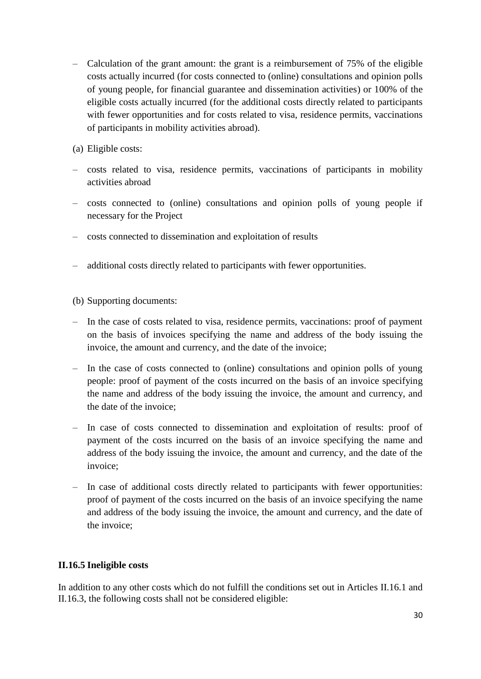- Calculation of the grant amount: the grant is a reimbursement of 75% of the eligible costs actually incurred (for costs connected to (online) consultations and opinion polls of young people, for financial guarantee and dissemination activities) or 100% of the eligible costs actually incurred (for the additional costs directly related to participants with fewer opportunities and for costs related to visa, residence permits, vaccinations of participants in mobility activities abroad).
- (a) Eligible costs:
- costs related to visa, residence permits, vaccinations of participants in mobility activities abroad
- costs connected to (online) consultations and opinion polls of young people if necessary for the Project
- costs connected to dissemination and exploitation of results
- additional costs directly related to participants with fewer opportunities.
- (b) Supporting documents:
- In the case of costs related to visa, residence permits, vaccinations: proof of payment on the basis of invoices specifying the name and address of the body issuing the invoice, the amount and currency, and the date of the invoice;
- In the case of costs connected to (online) consultations and opinion polls of young people: proof of payment of the costs incurred on the basis of an invoice specifying the name and address of the body issuing the invoice, the amount and currency, and the date of the invoice;
- In case of costs connected to dissemination and exploitation of results: proof of payment of the costs incurred on the basis of an invoice specifying the name and address of the body issuing the invoice, the amount and currency, and the date of the invoice;
- In case of additional costs directly related to participants with fewer opportunities: proof of payment of the costs incurred on the basis of an invoice specifying the name and address of the body issuing the invoice, the amount and currency, and the date of the invoice;

#### **II.16.5 Ineligible costs**

In addition to any other costs which do not fulfill the conditions set out in Articles II.16.1 and II.16.3, the following costs shall not be considered eligible: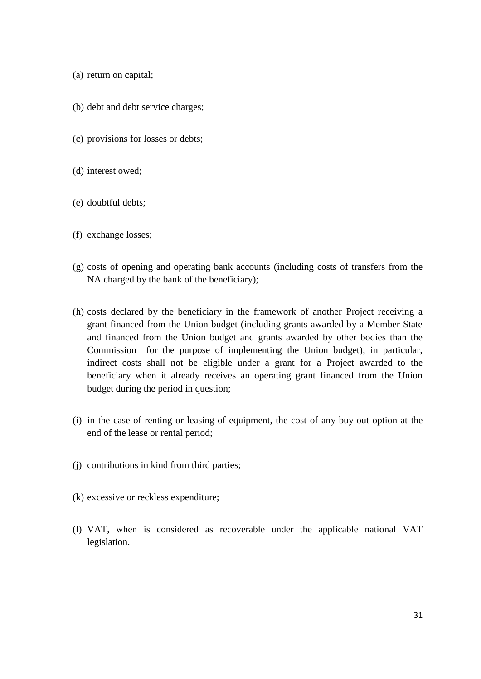- (a) return on capital;
- (b) debt and debt service charges;
- (c) provisions for losses or debts;
- (d) interest owed;
- (e) doubtful debts;
- (f) exchange losses;
- (g) costs of opening and operating bank accounts (including costs of transfers from the NA charged by the bank of the beneficiary);
- (h) costs declared by the beneficiary in the framework of another Project receiving a grant financed from the Union budget (including grants awarded by a Member State and financed from the Union budget and grants awarded by other bodies than the Commission for the purpose of implementing the Union budget); in particular, indirect costs shall not be eligible under a grant for a Project awarded to the beneficiary when it already receives an operating grant financed from the Union budget during the period in question;
- (i) in the case of renting or leasing of equipment, the cost of any buy-out option at the end of the lease or rental period;
- (j) contributions in kind from third parties;
- (k) excessive or reckless expenditure;
- (l) VAT, when is considered as recoverable under the applicable national VAT legislation.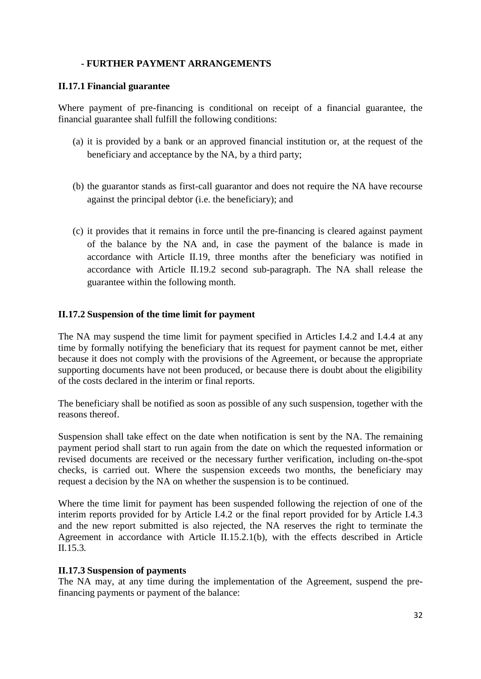# **- FURTHER PAYMENT ARRANGEMENTS**

#### **II.17.1 Financial guarantee**

Where payment of pre-financing is conditional on receipt of a financial guarantee, the financial guarantee shall fulfill the following conditions:

- (a) it is provided by a bank or an approved financial institution or, at the request of the beneficiary and acceptance by the NA, by a third party;
- (b) the guarantor stands as first-call guarantor and does not require the NA have recourse against the principal debtor (i.e. the beneficiary); and
- (c) it provides that it remains in force until the pre-financing is cleared against payment of the balance by the NA and, in case the payment of the balance is made in accordance with Article II.19, three months after the beneficiary was notified in accordance with Article II.19.2 second sub-paragraph. The NA shall release the guarantee within the following month.

### **II.17.2 Suspension of the time limit for payment**

The NA may suspend the time limit for payment specified in Articles I.4.2 and I.4.4 at any time by formally notifying the beneficiary that its request for payment cannot be met, either because it does not comply with the provisions of the Agreement, or because the appropriate supporting documents have not been produced, or because there is doubt about the eligibility of the costs declared in the interim or final reports.

The beneficiary shall be notified as soon as possible of any such suspension, together with the reasons thereof.

Suspension shall take effect on the date when notification is sent by the NA. The remaining payment period shall start to run again from the date on which the requested information or revised documents are received or the necessary further verification, including on-the-spot checks, is carried out. Where the suspension exceeds two months, the beneficiary may request a decision by the NA on whether the suspension is to be continued.

Where the time limit for payment has been suspended following the rejection of one of the interim reports provided for by Article I.4.2 or the final report provided for by Article I.4.3 and the new report submitted is also rejected, the NA reserves the right to terminate the Agreement in accordance with Article II.15.2.1(b)*,* with the effects described in Article II.15.3*.*

# **II.17.3 Suspension of payments**

The NA may, at any time during the implementation of the Agreement, suspend the prefinancing payments or payment of the balance: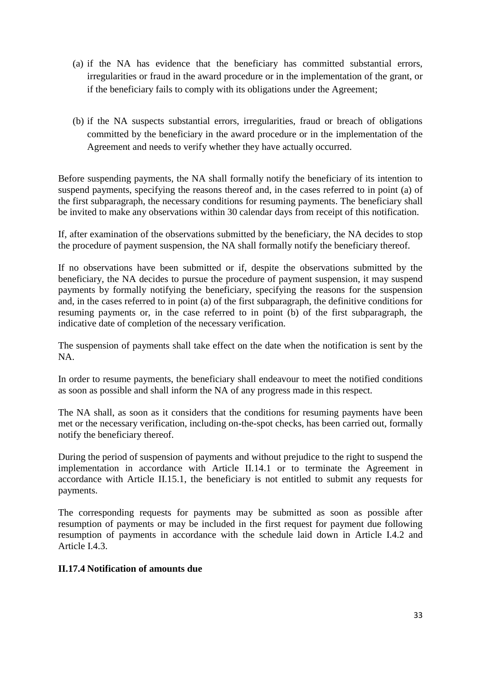- (a) if the NA has evidence that the beneficiary has committed substantial errors, irregularities or fraud in the award procedure or in the implementation of the grant, or if the beneficiary fails to comply with its obligations under the Agreement;
- (b) if the NA suspects substantial errors, irregularities, fraud or breach of obligations committed by the beneficiary in the award procedure or in the implementation of the Agreement and needs to verify whether they have actually occurred.

Before suspending payments, the NA shall formally notify the beneficiary of its intention to suspend payments, specifying the reasons thereof and, in the cases referred to in point (a) of the first subparagraph, the necessary conditions for resuming payments. The beneficiary shall be invited to make any observations within 30 calendar days from receipt of this notification.

If, after examination of the observations submitted by the beneficiary, the NA decides to stop the procedure of payment suspension, the NA shall formally notify the beneficiary thereof.

If no observations have been submitted or if, despite the observations submitted by the beneficiary, the NA decides to pursue the procedure of payment suspension, it may suspend payments by formally notifying the beneficiary, specifying the reasons for the suspension and, in the cases referred to in point (a) of the first subparagraph, the definitive conditions for resuming payments or, in the case referred to in point (b) of the first subparagraph, the indicative date of completion of the necessary verification.

The suspension of payments shall take effect on the date when the notification is sent by the NA.

In order to resume payments, the beneficiary shall endeavour to meet the notified conditions as soon as possible and shall inform the NA of any progress made in this respect.

The NA shall, as soon as it considers that the conditions for resuming payments have been met or the necessary verification, including on-the-spot checks, has been carried out, formally notify the beneficiary thereof.

During the period of suspension of payments and without prejudice to the right to suspend the implementation in accordance with Article II.14.1 or to terminate the Agreement in accordance with Article II.15.1, the beneficiary is not entitled to submit any requests for payments.

The corresponding requests for payments may be submitted as soon as possible after resumption of payments or may be included in the first request for payment due following resumption of payments in accordance with the schedule laid down in Article I.4.2 and Article I.4.3

#### **II.17.4 Notification of amounts due**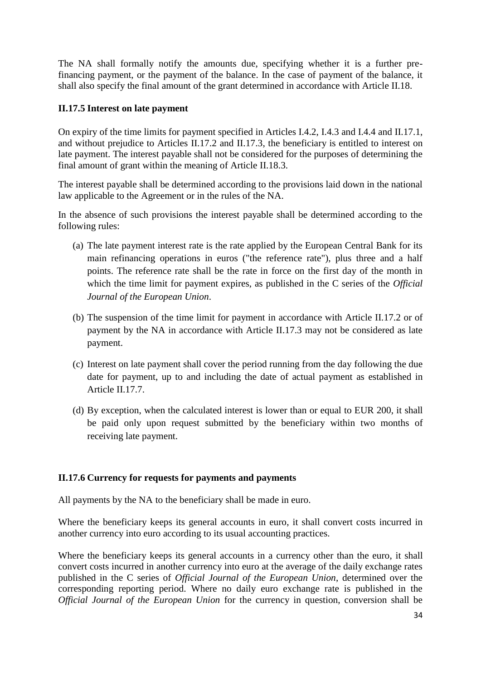The NA shall formally notify the amounts due, specifying whether it is a further prefinancing payment, or the payment of the balance. In the case of payment of the balance, it shall also specify the final amount of the grant determined in accordance with Article II.18.

### **II.17.5 Interest on late payment**

On expiry of the time limits for payment specified in Articles I.4.2, I.4.3 and I.4.4 and II.17.1, and without prejudice to Articles II.17.2 and II.17.3, the beneficiary is entitled to interest on late payment. The interest payable shall not be considered for the purposes of determining the final amount of grant within the meaning of Article II.18.3.

The interest payable shall be determined according to the provisions laid down in the national law applicable to the Agreement or in the rules of the NA.

In the absence of such provisions the interest payable shall be determined according to the following rules:

- (a) The late payment interest rate is the rate applied by the European Central Bank for its main refinancing operations in euros ("the reference rate"), plus three and a half points. The reference rate shall be the rate in force on the first day of the month in which the time limit for payment expires, as published in the C series of the *Official Journal of the European Union*.
- (b) The suspension of the time limit for payment in accordance with Article II.17.2 or of payment by the NA in accordance with Article II.17.3 may not be considered as late payment.
- (c) Interest on late payment shall cover the period running from the day following the due date for payment, up to and including the date of actual payment as established in Article II.17.7.
- (d) By exception, when the calculated interest is lower than or equal to EUR 200, it shall be paid only upon request submitted by the beneficiary within two months of receiving late payment.

# **II.17.6 Currency for requests for payments and payments**

All payments by the NA to the beneficiary shall be made in euro.

Where the beneficiary keeps its general accounts in euro, it shall convert costs incurred in another currency into euro according to its usual accounting practices.

Where the beneficiary keeps its general accounts in a currency other than the euro, it shall convert costs incurred in another currency into euro at the average of the daily exchange rates published in the C series of *Official Journal of the European Union*, determined over the corresponding reporting period. Where no daily euro exchange rate is published in the *Official Journal of the European Union* for the currency in question, conversion shall be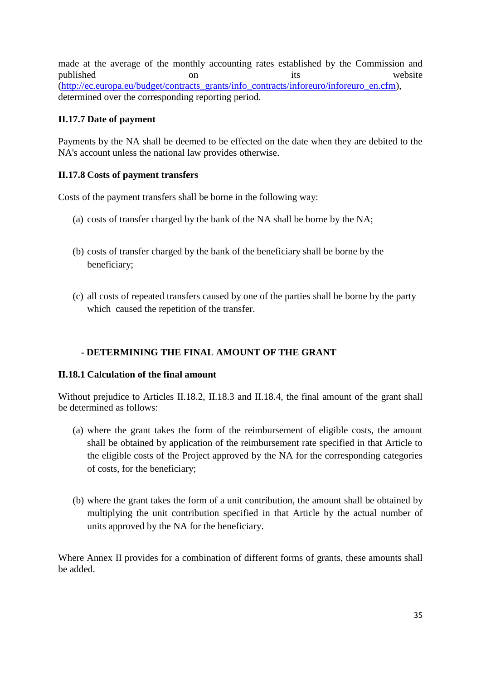made at the average of the monthly accounting rates established by the Commission and published on on its website [\(http://ec.europa.eu/budget/contracts\\_grants/info\\_contracts/inforeuro/inforeuro\\_en.cfm\)](http://ec.europa.eu/budget/contracts_grants/info_contracts/inforeuro/inforeuro_en.cfm), determined over the corresponding reporting period.

# **II.17.7 Date of payment**

Payments by the NA shall be deemed to be effected on the date when they are debited to the NA's account unless the national law provides otherwise.

# **II.17.8 Costs of payment transfers**

Costs of the payment transfers shall be borne in the following way:

- (a) costs of transfer charged by the bank of the NA shall be borne by the NA;
- (b) costs of transfer charged by the bank of the beneficiary shall be borne by the beneficiary;
- (c) all costs of repeated transfers caused by one of the parties shall be borne by the party which caused the repetition of the transfer.

# **- DETERMINING THE FINAL AMOUNT OF THE GRANT**

# **II.18.1 Calculation of the final amount**

Without prejudice to Articles II.18.2, II.18.3 and II.18.4, the final amount of the grant shall be determined as follows:

- (a) where the grant takes the form of the reimbursement of eligible costs, the amount shall be obtained by application of the reimbursement rate specified in that Article to the eligible costs of the Project approved by the NA for the corresponding categories of costs, for the beneficiary;
- (b) where the grant takes the form of a unit contribution, the amount shall be obtained by multiplying the unit contribution specified in that Article by the actual number of units approved by the NA for the beneficiary.

Where Annex II provides for a combination of different forms of grants, these amounts shall be added.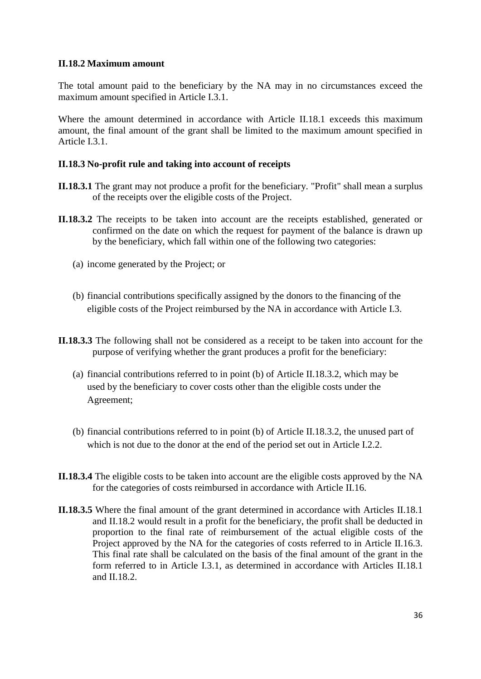### **II.18.2 Maximum amount**

The total amount paid to the beneficiary by the NA may in no circumstances exceed the maximum amount specified in Article I.3.1.

Where the amount determined in accordance with Article II.18.1 exceeds this maximum amount, the final amount of the grant shall be limited to the maximum amount specified in Article I.3.1

### **II.18.3 No-profit rule and taking into account of receipts**

- **II.18.3.1** The grant may not produce a profit for the beneficiary. "Profit" shall mean a surplus of the receipts over the eligible costs of the Project.
- **II.18.3.2** The receipts to be taken into account are the receipts established, generated or confirmed on the date on which the request for payment of the balance is drawn up by the beneficiary, which fall within one of the following two categories:
	- (a) income generated by the Project; or
	- (b) financial contributions specifically assigned by the donors to the financing of the eligible costs of the Project reimbursed by the NA in accordance with Article I.3.
- **II.18.3.3** The following shall not be considered as a receipt to be taken into account for the purpose of verifying whether the grant produces a profit for the beneficiary:
	- (a) financial contributions referred to in point (b) of Article II.18.3.2, which may be used by the beneficiary to cover costs other than the eligible costs under the Agreement;
	- (b) financial contributions referred to in point (b) of Article II.18.3.2, the unused part of which is not due to the donor at the end of the period set out in Article I.2.2.
- **II.18.3.4** The eligible costs to be taken into account are the eligible costs approved by the NA for the categories of costs reimbursed in accordance with Article II.16.
- **II.18.3.5** Where the final amount of the grant determined in accordance with Articles II.18.1 and II.18.2 would result in a profit for the beneficiary, the profit shall be deducted in proportion to the final rate of reimbursement of the actual eligible costs of the Project approved by the NA for the categories of costs referred to in Article II.16.3. This final rate shall be calculated on the basis of the final amount of the grant in the form referred to in Article I.3.1, as determined in accordance with Articles II.18.1 and II.18.2.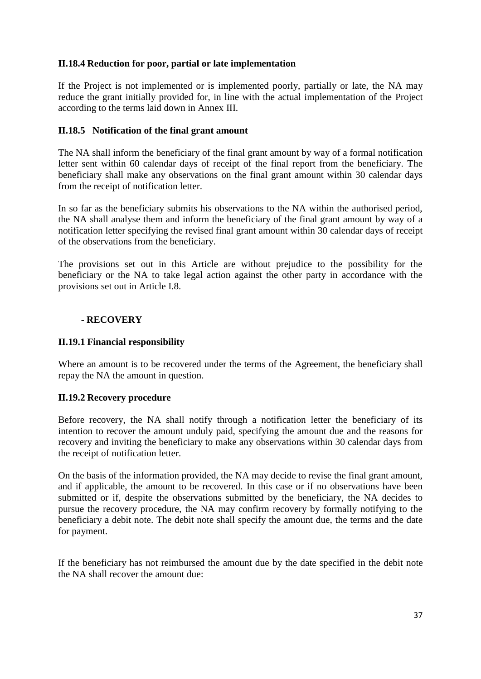### **II.18.4 Reduction for poor, partial or late implementation**

If the Project is not implemented or is implemented poorly, partially or late, the NA may reduce the grant initially provided for, in line with the actual implementation of the Project according to the terms laid down in Annex III.

### **II.18.5 Notification of the final grant amount**

The NA shall inform the beneficiary of the final grant amount by way of a formal notification letter sent within 60 calendar days of receipt of the final report from the beneficiary. The beneficiary shall make any observations on the final grant amount within 30 calendar days from the receipt of notification letter.

In so far as the beneficiary submits his observations to the NA within the authorised period, the NA shall analyse them and inform the beneficiary of the final grant amount by way of a notification letter specifying the revised final grant amount within 30 calendar days of receipt of the observations from the beneficiary.

The provisions set out in this Article are without prejudice to the possibility for the beneficiary or the NA to take legal action against the other party in accordance with the provisions set out in Article I.8.

### **- RECOVERY**

### **II.19.1 Financial responsibility**

Where an amount is to be recovered under the terms of the Agreement, the beneficiary shall repay the NA the amount in question.

# **II.19.2 Recovery procedure**

Before recovery, the NA shall notify through a notification letter the beneficiary of its intention to recover the amount unduly paid, specifying the amount due and the reasons for recovery and inviting the beneficiary to make any observations within 30 calendar days from the receipt of notification letter.

On the basis of the information provided, the NA may decide to revise the final grant amount, and if applicable, the amount to be recovered. In this case or if no observations have been submitted or if, despite the observations submitted by the beneficiary, the NA decides to pursue the recovery procedure, the NA may confirm recovery by formally notifying to the beneficiary a debit note. The debit note shall specify the amount due, the terms and the date for payment.

If the beneficiary has not reimbursed the amount due by the date specified in the debit note the NA shall recover the amount due: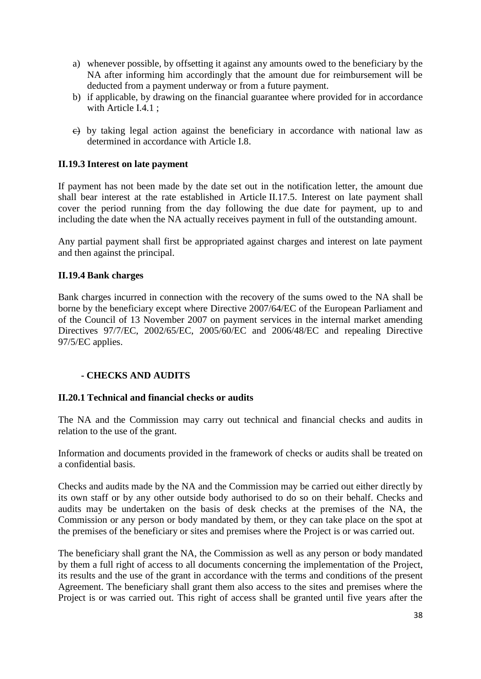- a) whenever possible, by offsetting it against any amounts owed to the beneficiary by the NA after informing him accordingly that the amount due for reimbursement will be deducted from a payment underway or from a future payment.
- b) if applicable, by drawing on the financial guarantee where provided for in accordance with Article I.4.1 ;
- $\leftrightarrow$  by taking legal action against the beneficiary in accordance with national law as determined in accordance with Article I.8.

### **II.19.3 Interest on late payment**

If payment has not been made by the date set out in the notification letter, the amount due shall bear interest at the rate established in Article II.17.5. Interest on late payment shall cover the period running from the day following the due date for payment, up to and including the date when the NA actually receives payment in full of the outstanding amount.

Any partial payment shall first be appropriated against charges and interest on late payment and then against the principal.

#### **II.19.4 Bank charges**

Bank charges incurred in connection with the recovery of the sums owed to the NA shall be borne by the beneficiary except where Directive 2007/64/EC of the European Parliament and of the Council of 13 November 2007 on payment services in the internal market amending Directives 97/7/EC, 2002/65/EC, 2005/60/EC and 2006/48/EC and repealing Directive 97/5/EC applies.

#### **- CHECKS AND AUDITS**

#### **II.20.1 Technical and financial checks or audits**

The NA and the Commission may carry out technical and financial checks and audits in relation to the use of the grant.

Information and documents provided in the framework of checks or audits shall be treated on a confidential basis.

Checks and audits made by the NA and the Commission may be carried out either directly by its own staff or by any other outside body authorised to do so on their behalf. Checks and audits may be undertaken on the basis of desk checks at the premises of the NA, the Commission or any person or body mandated by them, or they can take place on the spot at the premises of the beneficiary or sites and premises where the Project is or was carried out.

The beneficiary shall grant the NA, the Commission as well as any person or body mandated by them a full right of access to all documents concerning the implementation of the Project, its results and the use of the grant in accordance with the terms and conditions of the present Agreement. The beneficiary shall grant them also access to the sites and premises where the Project is or was carried out. This right of access shall be granted until five years after the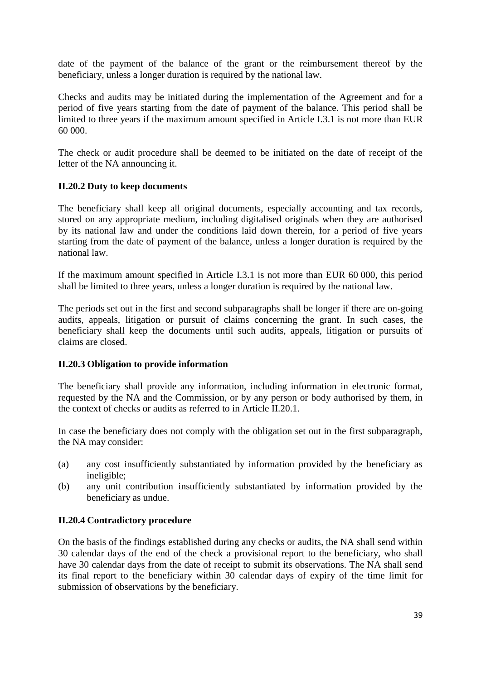date of the payment of the balance of the grant or the reimbursement thereof by the beneficiary, unless a longer duration is required by the national law.

Checks and audits may be initiated during the implementation of the Agreement and for a period of five years starting from the date of payment of the balance. This period shall be limited to three years if the maximum amount specified in Article I.3.1 is not more than EUR 60 000.

The check or audit procedure shall be deemed to be initiated on the date of receipt of the letter of the NA announcing it.

# **II.20.2 Duty to keep documents**

The beneficiary shall keep all original documents, especially accounting and tax records, stored on any appropriate medium, including digitalised originals when they are authorised by its national law and under the conditions laid down therein, for a period of five years starting from the date of payment of the balance, unless a longer duration is required by the national law.

If the maximum amount specified in Article I.3.1 is not more than EUR 60 000, this period shall be limited to three years, unless a longer duration is required by the national law.

The periods set out in the first and second subparagraphs shall be longer if there are on-going audits, appeals, litigation or pursuit of claims concerning the grant. In such cases, the beneficiary shall keep the documents until such audits, appeals, litigation or pursuits of claims are closed.

#### **II.20.3 Obligation to provide information**

The beneficiary shall provide any information, including information in electronic format, requested by the NA and the Commission, or by any person or body authorised by them, in the context of checks or audits as referred to in Article II.20.1.

In case the beneficiary does not comply with the obligation set out in the first subparagraph, the NA may consider:

- (a) any cost insufficiently substantiated by information provided by the beneficiary as ineligible;
- (b) any unit contribution insufficiently substantiated by information provided by the beneficiary as undue.

#### **II.20.4 Contradictory procedure**

On the basis of the findings established during any checks or audits, the NA shall send within 30 calendar days of the end of the check a provisional report to the beneficiary, who shall have 30 calendar days from the date of receipt to submit its observations. The NA shall send its final report to the beneficiary within 30 calendar days of expiry of the time limit for submission of observations by the beneficiary.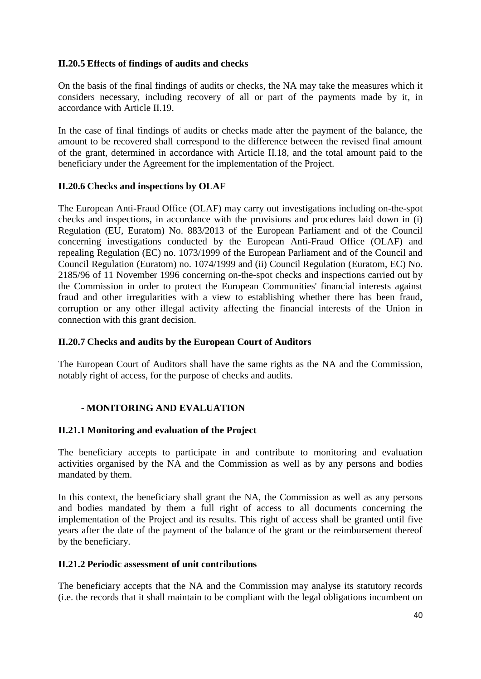### **II.20.5 Effects of findings of audits and checks**

On the basis of the final findings of audits or checks, the NA may take the measures which it considers necessary, including recovery of all or part of the payments made by it, in accordance with Article II.19.

In the case of final findings of audits or checks made after the payment of the balance, the amount to be recovered shall correspond to the difference between the revised final amount of the grant, determined in accordance with Article II.18, and the total amount paid to the beneficiary under the Agreement for the implementation of the Project.

### **II.20.6 Checks and inspections by OLAF**

The European Anti-Fraud Office (OLAF) may carry out investigations including on-the-spot checks and inspections, in accordance with the provisions and procedures laid down in (i) Regulation (EU, Euratom) No. 883/2013 of the European Parliament and of the Council concerning investigations conducted by the European Anti-Fraud Office (OLAF) and repealing Regulation (EC) no. 1073/1999 of the European Parliament and of the Council and Council Regulation (Euratom) no. 1074/1999 and (ii) Council Regulation (Euratom, EC) No. 2185/96 of 11 November 1996 concerning on-the-spot checks and inspections carried out by the Commission in order to protect the European Communities' financial interests against fraud and other irregularities with a view to establishing whether there has been fraud, corruption or any other illegal activity affecting the financial interests of the Union in connection with this grant decision.

#### **II.20.7 Checks and audits by the European Court of Auditors**

The European Court of Auditors shall have the same rights as the NA and the Commission, notably right of access, for the purpose of checks and audits.

# **- MONITORING AND EVALUATION**

#### **II.21.1 Monitoring and evaluation of the Project**

The beneficiary accepts to participate in and contribute to monitoring and evaluation activities organised by the NA and the Commission as well as by any persons and bodies mandated by them.

In this context, the beneficiary shall grant the NA, the Commission as well as any persons and bodies mandated by them a full right of access to all documents concerning the implementation of the Project and its results. This right of access shall be granted until five years after the date of the payment of the balance of the grant or the reimbursement thereof by the beneficiary.

#### **II.21.2 Periodic assessment of unit contributions**

The beneficiary accepts that the NA and the Commission may analyse its statutory records (i.e. the records that it shall maintain to be compliant with the legal obligations incumbent on